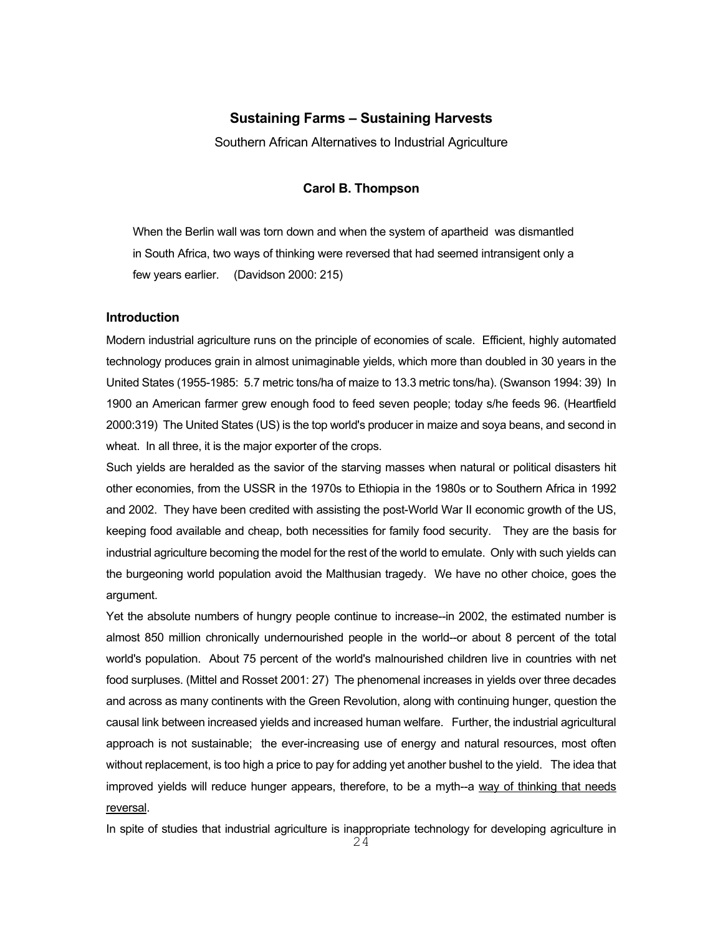# **Sustaining Farms – Sustaining Harvests**

Southern African Alternatives to Industrial Agriculture

# **Carol B. Thompson**

When the Berlin wall was torn down and when the system of apartheid was dismantled in South Africa, two ways of thinking were reversed that had seemed intransigent only a few years earlier. (Davidson 2000: 215)

# **Introduction**

Modern industrial agriculture runs on the principle of economies of scale. Efficient, highly automated technology produces grain in almost unimaginable yields, which more than doubled in 30 years in the United States (1955-1985: 5.7 metric tons/ha of maize to 13.3 metric tons/ha). (Swanson 1994: 39) In 1900 an American farmer grew enough food to feed seven people; today s/he feeds 96. (Heartfield 2000:319) The United States (US) is the top world's producer in maize and soya beans, and second in wheat. In all three, it is the major exporter of the crops.

Such yields are heralded as the savior of the starving masses when natural or political disasters hit other economies, from the USSR in the 1970s to Ethiopia in the 1980s or to Southern Africa in 1992 and 2002. They have been credited with assisting the post-World War II economic growth of the US, keeping food available and cheap, both necessities for family food security. They are the basis for industrial agriculture becoming the model for the rest of the world to emulate. Only with such yields can the burgeoning world population avoid the Malthusian tragedy. We have no other choice, goes the argument.

Yet the absolute numbers of hungry people continue to increase--in 2002, the estimated number is almost 850 million chronically undernourished people in the world--or about 8 percent of the total world's population. About 75 percent of the world's malnourished children live in countries with net food surpluses. (Mittel and Rosset 2001: 27) The phenomenal increases in yields over three decades and across as many continents with the Green Revolution, along with continuing hunger, question the causal link between increased yields and increased human welfare. Further, the industrial agricultural approach is not sustainable; the ever-increasing use of energy and natural resources, most often without replacement, is too high a price to pay for adding yet another bushel to the yield. The idea that improved yields will reduce hunger appears, therefore, to be a myth--a way of thinking that needs reversal.

In spite of studies that industrial agriculture is inappropriate technology for developing agriculture in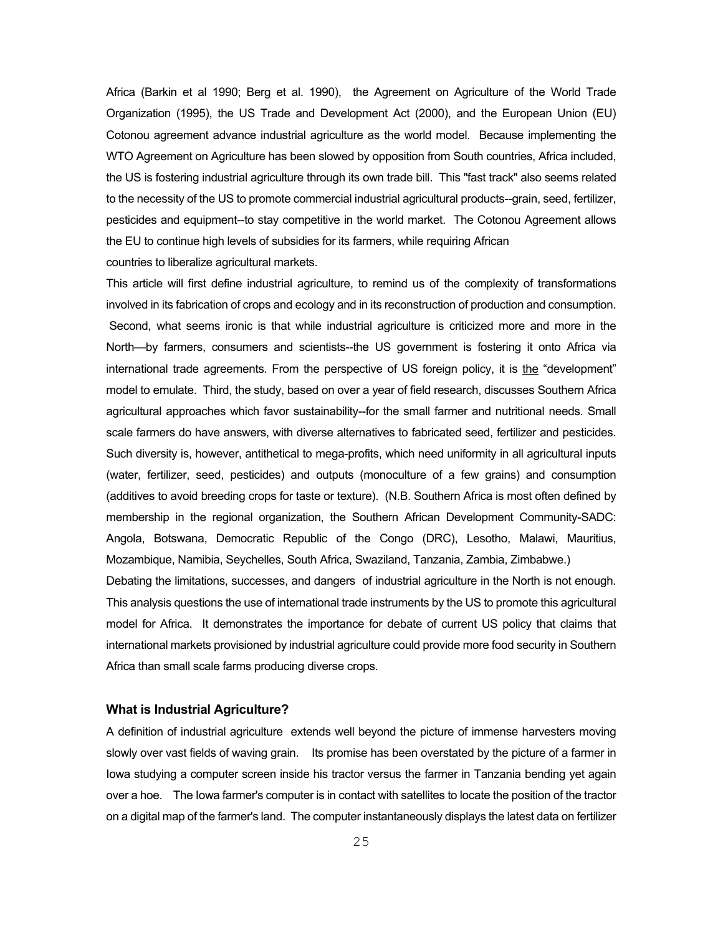Africa (Barkin et al 1990; Berg et al. 1990), the Agreement on Agriculture of the World Trade Organization (1995), the US Trade and Development Act (2000), and the European Union (EU) Cotonou agreement advance industrial agriculture as the world model. Because implementing the WTO Agreement on Agriculture has been slowed by opposition from South countries, Africa included, the US is fostering industrial agriculture through its own trade bill. This "fast track" also seems related to the necessity of the US to promote commercial industrial agricultural products--grain, seed, fertilizer, pesticides and equipment--to stay competitive in the world market. The Cotonou Agreement allows the EU to continue high levels of subsidies for its farmers, while requiring African countries to liberalize agricultural markets.

This article will first define industrial agriculture, to remind us of the complexity of transformations involved in its fabrication of crops and ecology and in its reconstruction of production and consumption. Second, what seems ironic is that while industrial agriculture is criticized more and more in the North—by farmers, consumers and scientists--the US government is fostering it onto Africa via international trade agreements. From the perspective of US foreign policy, it is the "development" model to emulate. Third, the study, based on over a year of field research, discusses Southern Africa agricultural approaches which favor sustainability--for the small farmer and nutritional needs. Small scale farmers do have answers, with diverse alternatives to fabricated seed, fertilizer and pesticides. Such diversity is, however, antithetical to mega-profits, which need uniformity in all agricultural inputs (water, fertilizer, seed, pesticides) and outputs (monoculture of a few grains) and consumption (additives to avoid breeding crops for taste or texture). (N.B. Southern Africa is most often defined by membership in the regional organization, the Southern African Development Community-SADC: Angola, Botswana, Democratic Republic of the Congo (DRC), Lesotho, Malawi, Mauritius, Mozambique, Namibia, Seychelles, South Africa, Swaziland, Tanzania, Zambia, Zimbabwe.) Debating the limitations, successes, and dangers of industrial agriculture in the North is not enough. This analysis questions the use of international trade instruments by the US to promote this agricultural model for Africa. It demonstrates the importance for debate of current US policy that claims that international markets provisioned by industrial agriculture could provide more food security in Southern Africa than small scale farms producing diverse crops.

#### **What is Industrial Agriculture?**

A definition of industrial agriculture extends well beyond the picture of immense harvesters moving slowly over vast fields of waving grain. Its promise has been overstated by the picture of a farmer in Iowa studying a computer screen inside his tractor versus the farmer in Tanzania bending yet again over a hoe. The Iowa farmer's computer is in contact with satellites to locate the position of the tractor on a digital map of the farmer's land. The computer instantaneously displays the latest data on fertilizer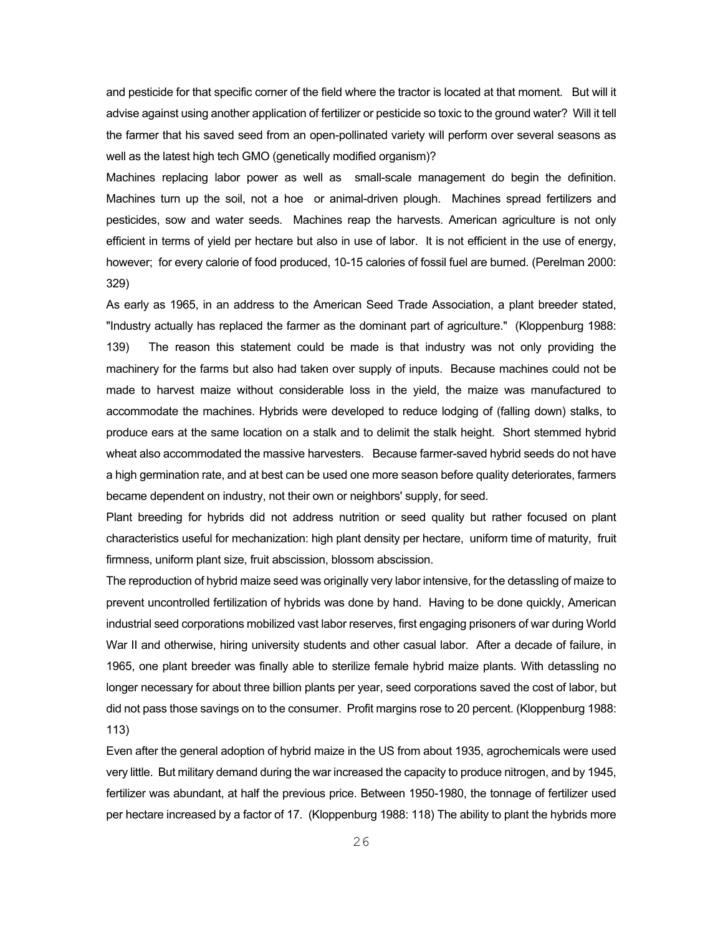and pesticide for that specific corner of the field where the tractor is located at that moment. But will it advise against using another application of fertilizer or pesticide so toxic to the ground water? Will it tell the farmer that his saved seed from an open-pollinated variety will perform over several seasons as well as the latest high tech GMO (genetically modified organism)?

Machines replacing labor power as well as small-scale management do begin the definition. Machines turn up the soil, not a hoe or animal-driven plough. Machines spread fertilizers and pesticides, sow and water seeds. Machines reap the harvests. American agriculture is not only efficient in terms of yield per hectare but also in use of labor. It is not efficient in the use of energy, however; for every calorie of food produced, 10-15 calories of fossil fuel are burned. (Perelman 2000: 329)

As early as 1965, in an address to the American Seed Trade Association, a plant breeder stated, "Industry actually has replaced the farmer as the dominant part of agriculture." (Kloppenburg 1988: 139) The reason this statement could be made is that industry was not only providing the machinery for the farms but also had taken over supply of inputs. Because machines could not be made to harvest maize without considerable loss in the yield, the maize was manufactured to accommodate the machines. Hybrids were developed to reduce lodging of (falling down) stalks, to produce ears at the same location on a stalk and to delimit the stalk height. Short stemmed hybrid wheat also accommodated the massive harvesters. Because farmer-saved hybrid seeds do not have a high germination rate, and at best can be used one more season before quality deteriorates, farmers became dependent on industry, not their own or neighbors' supply, for seed.

Plant breeding for hybrids did not address nutrition or seed quality but rather focused on plant characteristics useful for mechanization: high plant density per hectare, uniform time of maturity, fruit firmness, uniform plant size, fruit abscission, blossom abscission.

The reproduction of hybrid maize seed was originally very labor intensive, for the detassling of maize to prevent uncontrolled fertilization of hybrids was done by hand. Having to be done quickly, American industrial seed corporations mobilized vast labor reserves, first engaging prisoners of war during World War II and otherwise, hiring university students and other casual labor. After a decade of failure, in 1965, one plant breeder was finally able to sterilize female hybrid maize plants. With detassling no longer necessary for about three billion plants per year, seed corporations saved the cost of labor, but did not pass those savings on to the consumer. Profit margins rose to 20 percent. (Kloppenburg 1988: 113)

Even after the general adoption of hybrid maize in the US from about 1935, agrochemicals were used very little. But military demand during the war increased the capacity to produce nitrogen, and by 1945, fertilizer was abundant, at half the previous price. Between 1950-1980, the tonnage of fertilizer used per hectare increased by a factor of 17. (Kloppenburg 1988: 118) The ability to plant the hybrids more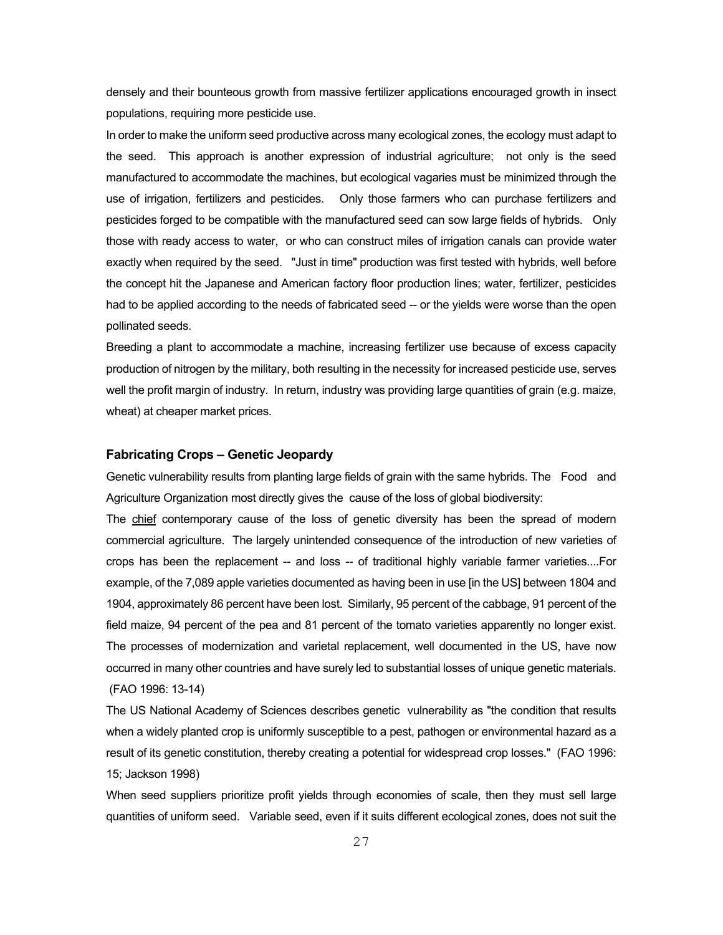densely and their bounteous growth from massive fertilizer applications encouraged growth in insect populations, requiring more pesticide use.

In order to make the uniform seed productive across many ecological zones, the ecology must adapt to the seed. This approach is another expression of industrial agriculture; not only is the seed manufactured to accommodate the machines, but ecological vagaries must be minimized through the use of irrigation, fertilizers and pesticides. Only those farmers who can purchase fertilizers and pesticides forged to be compatible with the manufactured seed can sow large fields of hybrids. Only those with ready access to water, or who can construct miles of irrigation canals can provide water exactly when required by the seed. "Just in time" production was first tested with hybrids, well before the concept hit the Japanese and American factory floor production lines; water, fertilizer, pesticides had to be applied according to the needs of fabricated seed -- or the yields were worse than the open pollinated seeds.

Breeding a plant to accommodate a machine, increasing fertilizer use because of excess capacity production of nitrogen by the military, both resulting in the necessity for increased pesticide use, serves well the profit margin of industry. In return, industry was providing large quantities of grain (e.g. maize, wheat) at cheaper market prices.

## **Fabricating Crops – Genetic Jeopardy**

Genetic vulnerability results from planting large fields of grain with the same hybrids. The Food and Agriculture Organization most directly gives the cause of the loss of global biodiversity:

The chief contemporary cause of the loss of genetic diversity has been the spread of modern commercial agriculture. The largely unintended consequence of the introduction of new varieties of crops has been the replacement -- and loss -- of traditional highly variable farmer varieties....For example, of the 7,089 apple varieties documented as having been in use [in the US] between 1804 and 1904, approximately 86 percent have been lost. Similarly, 95 percent of the cabbage, 91 percent of the field maize, 94 percent of the pea and 81 percent of the tomato varieties apparently no longer exist. The processes of modernization and varietal replacement, well documented in the US, have now occurred in many other countries and have surely led to substantial losses of unique genetic materials. (FAO 1996: 13-14)

The US National Academy of Sciences describes genetic vulnerability as "the condition that results when a widely planted crop is uniformly susceptible to a pest, pathogen or environmental hazard as a result of its genetic constitution, thereby creating a potential for widespread crop losses." (FAO 1996: 15; Jackson 1998)

When seed suppliers prioritize profit yields through economies of scale, then they must sell large quantities of uniform seed. Variable seed, even if it suits different ecological zones, does not suit the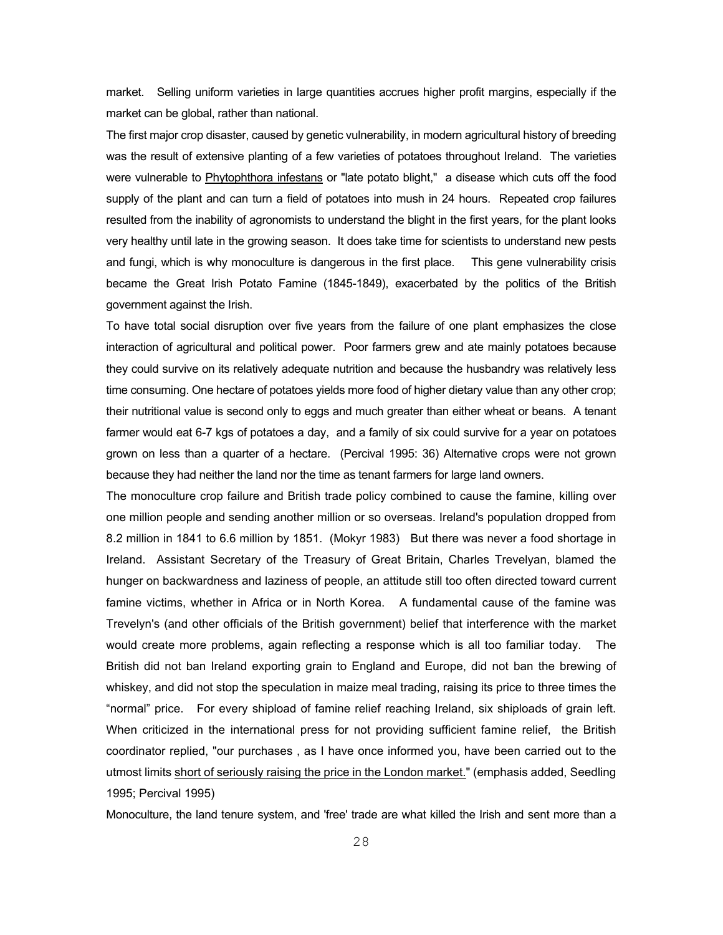market. Selling uniform varieties in large quantities accrues higher profit margins, especially if the market can be global, rather than national.

The first major crop disaster, caused by genetic vulnerability, in modern agricultural history of breeding was the result of extensive planting of a few varieties of potatoes throughout Ireland. The varieties were vulnerable to Phytophthora infestans or "late potato blight," a disease which cuts off the food supply of the plant and can turn a field of potatoes into mush in 24 hours. Repeated crop failures resulted from the inability of agronomists to understand the blight in the first years, for the plant looks very healthy until late in the growing season. It does take time for scientists to understand new pests and fungi, which is why monoculture is dangerous in the first place. This gene vulnerability crisis became the Great Irish Potato Famine (1845-1849), exacerbated by the politics of the British government against the Irish.

To have total social disruption over five years from the failure of one plant emphasizes the close interaction of agricultural and political power. Poor farmers grew and ate mainly potatoes because they could survive on its relatively adequate nutrition and because the husbandry was relatively less time consuming. One hectare of potatoes yields more food of higher dietary value than any other crop; their nutritional value is second only to eggs and much greater than either wheat or beans. A tenant farmer would eat 6-7 kgs of potatoes a day, and a family of six could survive for a year on potatoes grown on less than a quarter of a hectare. (Percival 1995: 36) Alternative crops were not grown because they had neither the land nor the time as tenant farmers for large land owners.

The monoculture crop failure and British trade policy combined to cause the famine, killing over one million people and sending another million or so overseas. Ireland's population dropped from 8.2 million in 1841 to 6.6 million by 1851. (Mokyr 1983) But there was never a food shortage in Ireland. Assistant Secretary of the Treasury of Great Britain, Charles Trevelyan, blamed the hunger on backwardness and laziness of people, an attitude still too often directed toward current famine victims, whether in Africa or in North Korea. A fundamental cause of the famine was Trevelyn's (and other officials of the British government) belief that interference with the market would create more problems, again reflecting a response which is all too familiar today. The British did not ban Ireland exporting grain to England and Europe, did not ban the brewing of whiskey, and did not stop the speculation in maize meal trading, raising its price to three times the "normal" price. For every shipload of famine relief reaching Ireland, six shiploads of grain left. When criticized in the international press for not providing sufficient famine relief, the British coordinator replied, "our purchases , as I have once informed you, have been carried out to the utmost limits short of seriously raising the price in the London market." (emphasis added, Seedling 1995; Percival 1995)

Monoculture, the land tenure system, and 'free' trade are what killed the Irish and sent more than a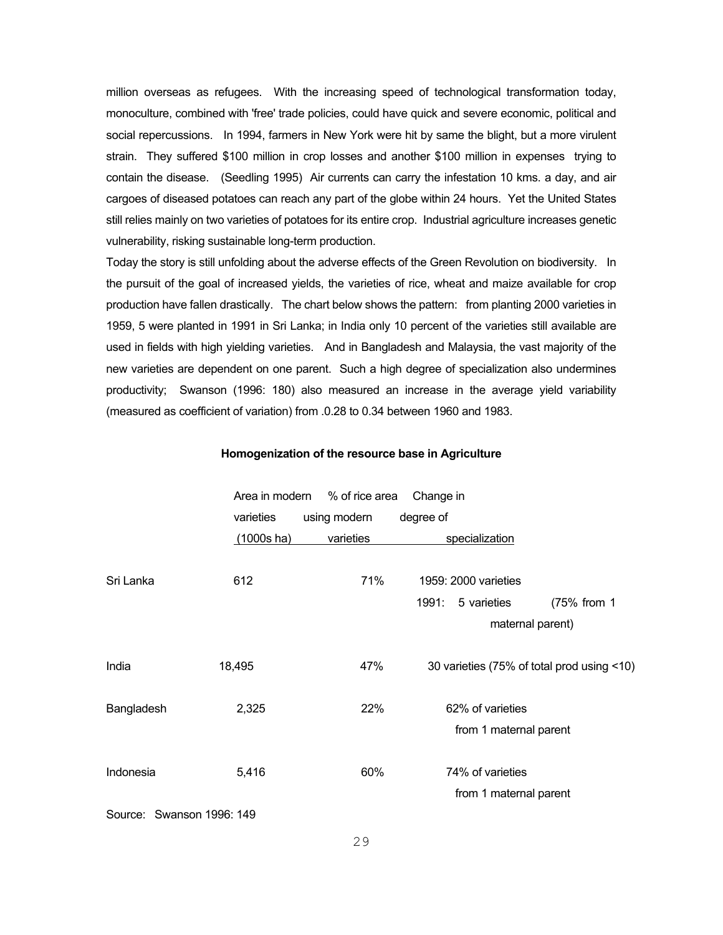million overseas as refugees. With the increasing speed of technological transformation today, monoculture, combined with 'free' trade policies, could have quick and severe economic, political and social repercussions. In 1994, farmers in New York were hit by same the blight, but a more virulent strain. They suffered \$100 million in crop losses and another \$100 million in expenses trying to contain the disease. (Seedling 1995) Air currents can carry the infestation 10 kms. a day, and air cargoes of diseased potatoes can reach any part of the globe within 24 hours. Yet the United States still relies mainly on two varieties of potatoes for its entire crop. Industrial agriculture increases genetic vulnerability, risking sustainable long-term production.

Today the story is still unfolding about the adverse effects of the Green Revolution on biodiversity. In the pursuit of the goal of increased yields, the varieties of rice, wheat and maize available for crop production have fallen drastically. The chart below shows the pattern: from planting 2000 varieties in 1959, 5 were planted in 1991 in Sri Lanka; in India only 10 percent of the varieties still available are used in fields with high yielding varieties. And in Bangladesh and Malaysia, the vast majority of the new varieties are dependent on one parent. Such a high degree of specialization also undermines productivity; Swanson (1996: 180) also measured an increase in the average yield variability (measured as coefficient of variation) from .0.28 to 0.34 between 1960 and 1983.

#### **Homogenization of the resource base in Agriculture**

|                           | Area in modern | % of rice area | Change in                                    |             |
|---------------------------|----------------|----------------|----------------------------------------------|-------------|
|                           | varieties      | using modern   | degree of                                    |             |
|                           | $(1000s)$ ha)  | varieties      | specialization                               |             |
| Sri Lanka                 | 612            | 71%            | 1959: 2000 varieties<br>1991:<br>5 varieties | (75% from 1 |
|                           |                |                | maternal parent)                             |             |
| India                     | 18,495         | 47%            | 30 varieties (75% of total prod using <10)   |             |
| Bangladesh                | 2,325          | 22%            | 62% of varieties                             |             |
|                           |                |                | from 1 maternal parent                       |             |
| Indonesia                 | 5,416          | 60%            | 74% of varieties<br>from 1 maternal parent   |             |
| Source: Swanson 1996: 149 |                |                |                                              |             |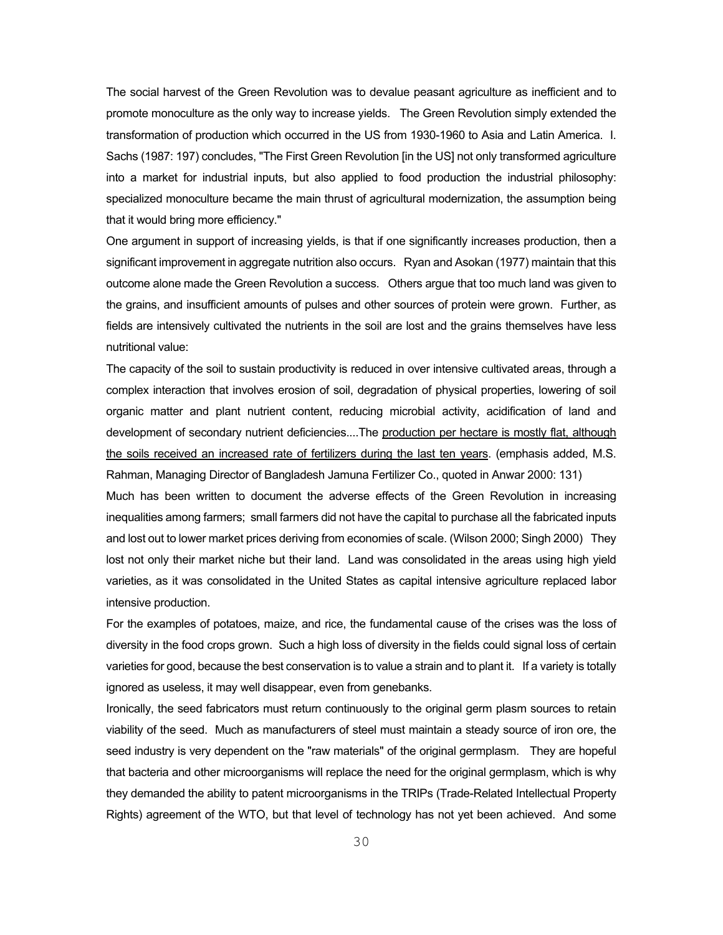The social harvest of the Green Revolution was to devalue peasant agriculture as inefficient and to promote monoculture as the only way to increase yields. The Green Revolution simply extended the transformation of production which occurred in the US from 1930-1960 to Asia and Latin America. I. Sachs (1987: 197) concludes, "The First Green Revolution [in the US] not only transformed agriculture into a market for industrial inputs, but also applied to food production the industrial philosophy: specialized monoculture became the main thrust of agricultural modernization, the assumption being that it would bring more efficiency."

One argument in support of increasing yields, is that if one significantly increases production, then a significant improvement in aggregate nutrition also occurs. Ryan and Asokan (1977) maintain that this outcome alone made the Green Revolution a success. Others argue that too much land was given to the grains, and insufficient amounts of pulses and other sources of protein were grown. Further, as fields are intensively cultivated the nutrients in the soil are lost and the grains themselves have less nutritional value:

The capacity of the soil to sustain productivity is reduced in over intensive cultivated areas, through a complex interaction that involves erosion of soil, degradation of physical properties, lowering of soil organic matter and plant nutrient content, reducing microbial activity, acidification of land and development of secondary nutrient deficiencies....The production per hectare is mostly flat, although the soils received an increased rate of fertilizers during the last ten years. (emphasis added, M.S. Rahman, Managing Director of Bangladesh Jamuna Fertilizer Co., quoted in Anwar 2000: 131)

Much has been written to document the adverse effects of the Green Revolution in increasing inequalities among farmers; small farmers did not have the capital to purchase all the fabricated inputs and lost out to lower market prices deriving from economies of scale. (Wilson 2000; Singh 2000) They lost not only their market niche but their land. Land was consolidated in the areas using high yield varieties, as it was consolidated in the United States as capital intensive agriculture replaced labor intensive production.

For the examples of potatoes, maize, and rice, the fundamental cause of the crises was the loss of diversity in the food crops grown. Such a high loss of diversity in the fields could signal loss of certain varieties for good, because the best conservation is to value a strain and to plant it. If a variety is totally ignored as useless, it may well disappear, even from genebanks.

Ironically, the seed fabricators must return continuously to the original germ plasm sources to retain viability of the seed. Much as manufacturers of steel must maintain a steady source of iron ore, the seed industry is very dependent on the "raw materials" of the original germplasm. They are hopeful that bacteria and other microorganisms will replace the need for the original germplasm, which is why they demanded the ability to patent microorganisms in the TRIPs (Trade-Related Intellectual Property Rights) agreement of the WTO, but that level of technology has not yet been achieved. And some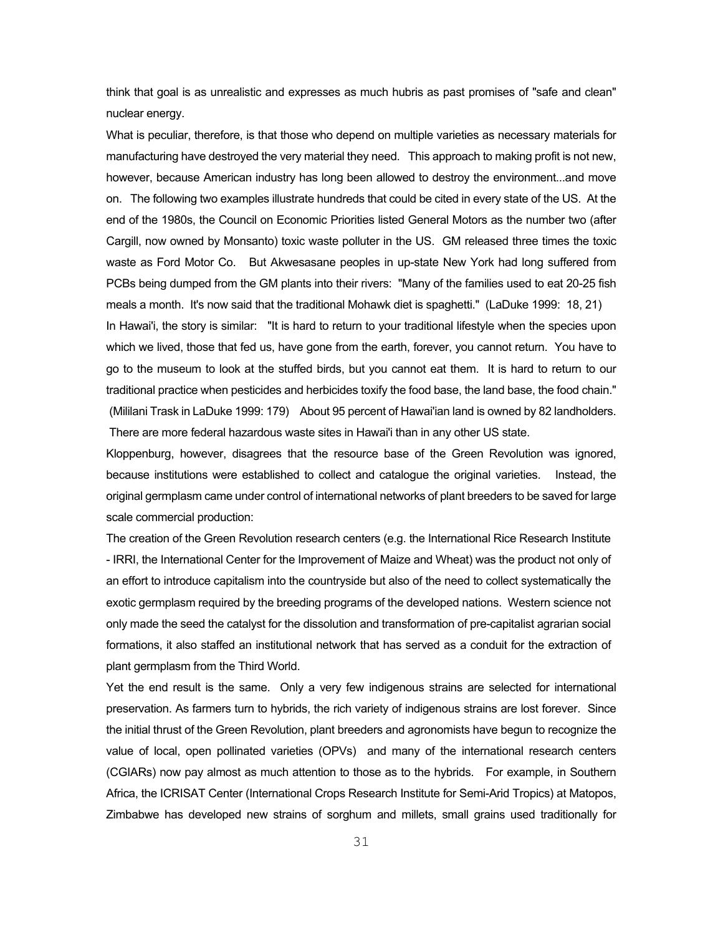think that goal is as unrealistic and expresses as much hubris as past promises of "safe and clean" nuclear energy.

What is peculiar, therefore, is that those who depend on multiple varieties as necessary materials for manufacturing have destroyed the very material they need. This approach to making profit is not new, however, because American industry has long been allowed to destroy the environment...and move on. The following two examples illustrate hundreds that could be cited in every state of the US. At the end of the 1980s, the Council on Economic Priorities listed General Motors as the number two (after Cargill, now owned by Monsanto) toxic waste polluter in the US. GM released three times the toxic waste as Ford Motor Co. But Akwesasane peoples in up-state New York had long suffered from PCBs being dumped from the GM plants into their rivers: "Many of the families used to eat 20-25 fish meals a month. It's now said that the traditional Mohawk diet is spaghetti." (LaDuke 1999: 18, 21) In Hawai'i, the story is similar: "It is hard to return to your traditional lifestyle when the species upon which we lived, those that fed us, have gone from the earth, forever, you cannot return. You have to go to the museum to look at the stuffed birds, but you cannot eat them. It is hard to return to our traditional practice when pesticides and herbicides toxify the food base, the land base, the food chain."

There are more federal hazardous waste sites in Hawai'i than in any other US state.

Kloppenburg, however, disagrees that the resource base of the Green Revolution was ignored, because institutions were established to collect and catalogue the original varieties. Instead, the original germplasm came under control of international networks of plant breeders to be saved for large scale commercial production:

(Mililani Trask in LaDuke 1999: 179) About 95 percent of Hawai'ian land is owned by 82 landholders.

The creation of the Green Revolution research centers (e.g. the International Rice Research Institute - IRRI, the International Center for the Improvement of Maize and Wheat) was the product not only of an effort to introduce capitalism into the countryside but also of the need to collect systematically the exotic germplasm required by the breeding programs of the developed nations. Western science not only made the seed the catalyst for the dissolution and transformation of pre-capitalist agrarian social formations, it also staffed an institutional network that has served as a conduit for the extraction of plant germplasm from the Third World.

Yet the end result is the same. Only a very few indigenous strains are selected for international preservation. As farmers turn to hybrids, the rich variety of indigenous strains are lost forever. Since the initial thrust of the Green Revolution, plant breeders and agronomists have begun to recognize the value of local, open pollinated varieties (OPVs) and many of the international research centers (CGIARs) now pay almost as much attention to those as to the hybrids. For example, in Southern Africa, the ICRISAT Center (International Crops Research Institute for Semi-Arid Tropics) at Matopos, Zimbabwe has developed new strains of sorghum and millets, small grains used traditionally for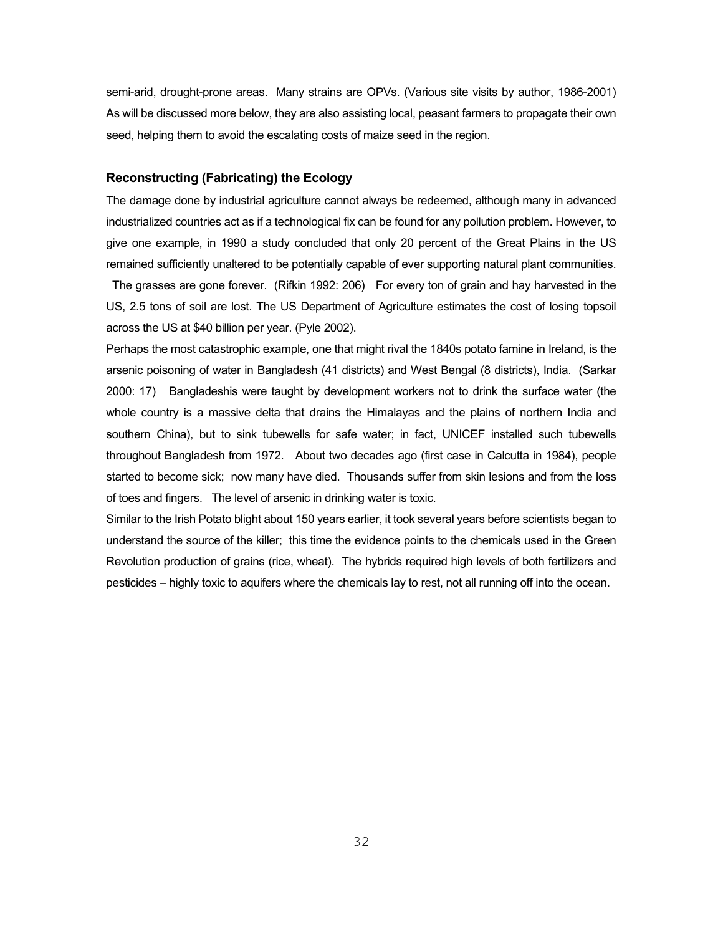semi-arid, drought-prone areas. Many strains are OPVs. (Various site visits by author, 1986-2001) As will be discussed more below, they are also assisting local, peasant farmers to propagate their own seed, helping them to avoid the escalating costs of maize seed in the region.

# **Reconstructing (Fabricating) the Ecology**

The damage done by industrial agriculture cannot always be redeemed, although many in advanced industrialized countries act as if a technological fix can be found for any pollution problem. However, to give one example, in 1990 a study concluded that only 20 percent of the Great Plains in the US remained sufficiently unaltered to be potentially capable of ever supporting natural plant communities.

 The grasses are gone forever. (Rifkin 1992: 206) For every ton of grain and hay harvested in the US, 2.5 tons of soil are lost. The US Department of Agriculture estimates the cost of losing topsoil across the US at \$40 billion per year. (Pyle 2002).

Perhaps the most catastrophic example, one that might rival the 1840s potato famine in Ireland, is the arsenic poisoning of water in Bangladesh (41 districts) and West Bengal (8 districts), India. (Sarkar 2000: 17) Bangladeshis were taught by development workers not to drink the surface water (the whole country is a massive delta that drains the Himalayas and the plains of northern India and southern China), but to sink tubewells for safe water; in fact, UNICEF installed such tubewells throughout Bangladesh from 1972. About two decades ago (first case in Calcutta in 1984), people started to become sick; now many have died. Thousands suffer from skin lesions and from the loss of toes and fingers. The level of arsenic in drinking water is toxic.

Similar to the Irish Potato blight about 150 years earlier, it took several years before scientists began to understand the source of the killer; this time the evidence points to the chemicals used in the Green Revolution production of grains (rice, wheat). The hybrids required high levels of both fertilizers and pesticides – highly toxic to aquifers where the chemicals lay to rest, not all running off into the ocean.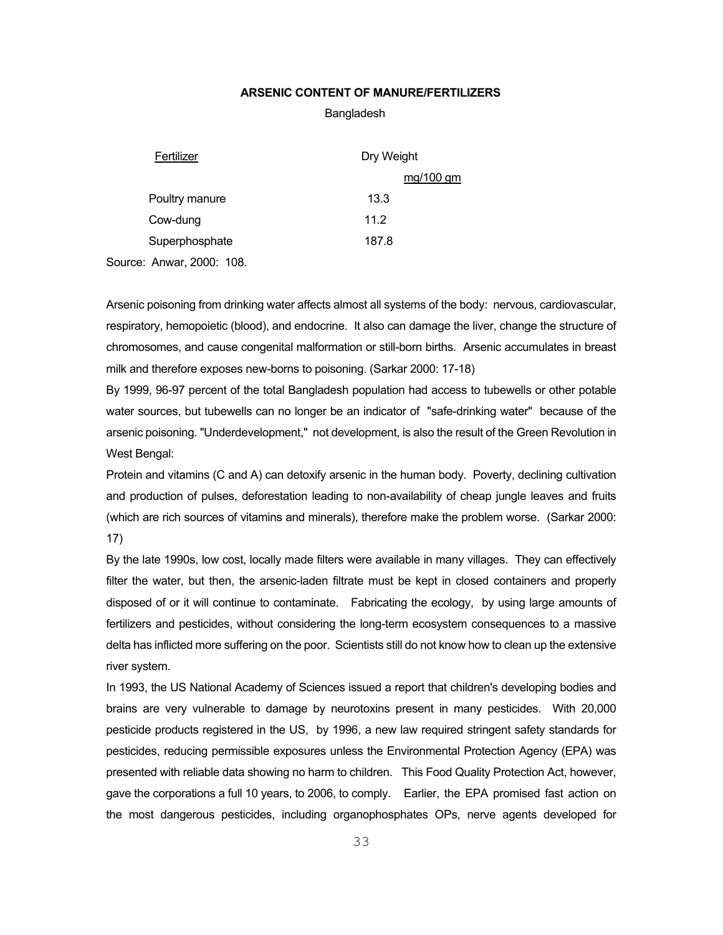# **ARSENIC CONTENT OF MANURE/FERTILIZERS**

#### Bangladesh

| Fertilizer                | Dry Weight |  |  |
|---------------------------|------------|--|--|
|                           | mg/100 gm  |  |  |
| Poultry manure            | 13.3       |  |  |
| Cow-dung                  | 11.2       |  |  |
| Superphosphate            | 187.8      |  |  |
| Source: Anwar, 2000: 108. |            |  |  |

Arsenic poisoning from drinking water affects almost all systems of the body: nervous, cardiovascular, respiratory, hemopoietic (blood), and endocrine. It also can damage the liver, change the structure of chromosomes, and cause congenital malformation or still-born births. Arsenic accumulates in breast milk and therefore exposes new-borns to poisoning. (Sarkar 2000: 17-18)

By 1999, 96-97 percent of the total Bangladesh population had access to tubewells or other potable water sources, but tubewells can no longer be an indicator of "safe-drinking water" because of the arsenic poisoning. "Underdevelopment," not development, is also the result of the Green Revolution in West Bengal:

Protein and vitamins (C and A) can detoxify arsenic in the human body. Poverty, declining cultivation and production of pulses, deforestation leading to non-availability of cheap jungle leaves and fruits (which are rich sources of vitamins and minerals), therefore make the problem worse. (Sarkar 2000: 17)

By the late 1990s, low cost, locally made filters were available in many villages. They can effectively filter the water, but then, the arsenic-laden filtrate must be kept in closed containers and properly disposed of or it will continue to contaminate. Fabricating the ecology, by using large amounts of fertilizers and pesticides, without considering the long-term ecosystem consequences to a massive delta has inflicted more suffering on the poor. Scientists still do not know how to clean up the extensive river system.

In 1993, the US National Academy of Sciences issued a report that children's developing bodies and brains are very vulnerable to damage by neurotoxins present in many pesticides. With 20,000 pesticide products registered in the US, by 1996, a new law required stringent safety standards for pesticides, reducing permissible exposures unless the Environmental Protection Agency (EPA) was presented with reliable data showing no harm to children. This Food Quality Protection Act, however, gave the corporations a full 10 years, to 2006, to comply. Earlier, the EPA promised fast action on the most dangerous pesticides, including organophosphates OPs, nerve agents developed for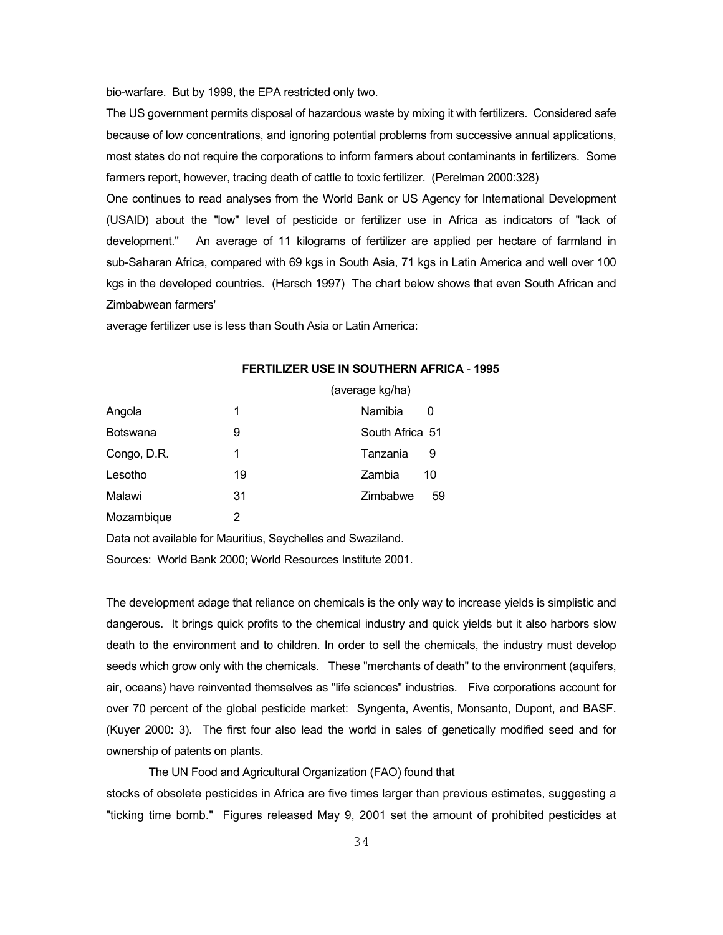bio-warfare. But by 1999, the EPA restricted only two.

The US government permits disposal of hazardous waste by mixing it with fertilizers. Considered safe because of low concentrations, and ignoring potential problems from successive annual applications, most states do not require the corporations to inform farmers about contaminants in fertilizers. Some farmers report, however, tracing death of cattle to toxic fertilizer. (Perelman 2000:328)

One continues to read analyses from the World Bank or US Agency for International Development (USAID) about the "low" level of pesticide or fertilizer use in Africa as indicators of "lack of development." An average of 11 kilograms of fertilizer are applied per hectare of farmland in sub-Saharan Africa, compared with 69 kgs in South Asia, 71 kgs in Latin America and well over 100 kgs in the developed countries. (Harsch 1997) The chart below shows that even South African and Zimbabwean farmers'

average fertilizer use is less than South Asia or Latin America:

# (average kg/ha) Angola 1 1 Namibia 0 Botswana  $\overline{9}$  9 South Africa 51 Congo, D.R. 1 Tanzania 9 Lesotho 19 19 Zambia 10 Malawi 31 Zimbabwe 59 Mozambique 2

# **FERTILIZER USE IN SOUTHERN AFRICA** - **1995**

Data not available for Mauritius, Seychelles and Swaziland.

Sources: World Bank 2000; World Resources Institute 2001.

The development adage that reliance on chemicals is the only way to increase yields is simplistic and dangerous. It brings quick profits to the chemical industry and quick yields but it also harbors slow death to the environment and to children. In order to sell the chemicals, the industry must develop seeds which grow only with the chemicals. These "merchants of death" to the environment (aquifers, air, oceans) have reinvented themselves as "life sciences" industries. Five corporations account for over 70 percent of the global pesticide market: Syngenta, Aventis, Monsanto, Dupont, and BASF. (Kuyer 2000: 3). The first four also lead the world in sales of genetically modified seed and for ownership of patents on plants.

# The UN Food and Agricultural Organization (FAO) found that

stocks of obsolete pesticides in Africa are five times larger than previous estimates, suggesting a "ticking time bomb." Figures released May 9, 2001 set the amount of prohibited pesticides at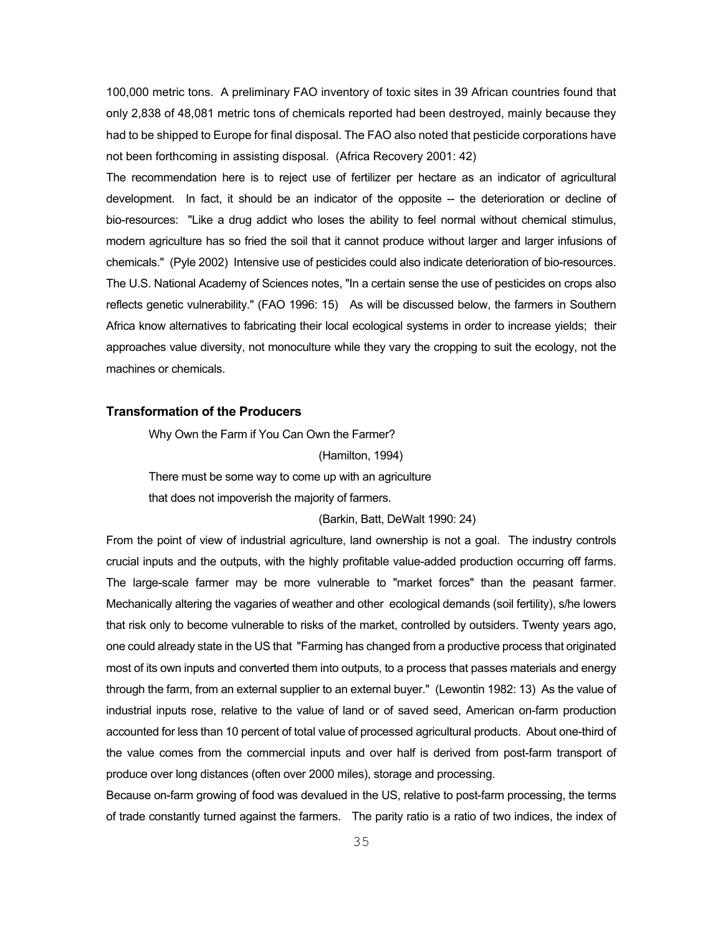100,000 metric tons. A preliminary FAO inventory of toxic sites in 39 African countries found that only 2,838 of 48,081 metric tons of chemicals reported had been destroyed, mainly because they had to be shipped to Europe for final disposal. The FAO also noted that pesticide corporations have not been forthcoming in assisting disposal. (Africa Recovery 2001: 42)

The recommendation here is to reject use of fertilizer per hectare as an indicator of agricultural development. In fact, it should be an indicator of the opposite -- the deterioration or decline of bio-resources: "Like a drug addict who loses the ability to feel normal without chemical stimulus, modern agriculture has so fried the soil that it cannot produce without larger and larger infusions of chemicals." (Pyle 2002) Intensive use of pesticides could also indicate deterioration of bio-resources. The U.S. National Academy of Sciences notes, "In a certain sense the use of pesticides on crops also reflects genetic vulnerability." (FAO 1996: 15) As will be discussed below, the farmers in Southern Africa know alternatives to fabricating their local ecological systems in order to increase yields; their approaches value diversity, not monoculture while they vary the cropping to suit the ecology, not the machines or chemicals.

### **Transformation of the Producers**

 Why Own the Farm if You Can Own the Farmer? (Hamilton, 1994) There must be some way to come up with an agriculture that does not impoverish the majority of farmers.

### (Barkin, Batt, DeWalt 1990: 24)

From the point of view of industrial agriculture, land ownership is not a goal. The industry controls crucial inputs and the outputs, with the highly profitable value-added production occurring off farms. The large-scale farmer may be more vulnerable to "market forces" than the peasant farmer. Mechanically altering the vagaries of weather and other ecological demands (soil fertility), s/he lowers that risk only to become vulnerable to risks of the market, controlled by outsiders. Twenty years ago, one could already state in the US that "Farming has changed from a productive process that originated most of its own inputs and converted them into outputs, to a process that passes materials and energy through the farm, from an external supplier to an external buyer." (Lewontin 1982: 13) As the value of industrial inputs rose, relative to the value of land or of saved seed, American on-farm production accounted for less than 10 percent of total value of processed agricultural products. About one-third of the value comes from the commercial inputs and over half is derived from post-farm transport of produce over long distances (often over 2000 miles), storage and processing.

Because on-farm growing of food was devalued in the US, relative to post-farm processing, the terms of trade constantly turned against the farmers. The parity ratio is a ratio of two indices, the index of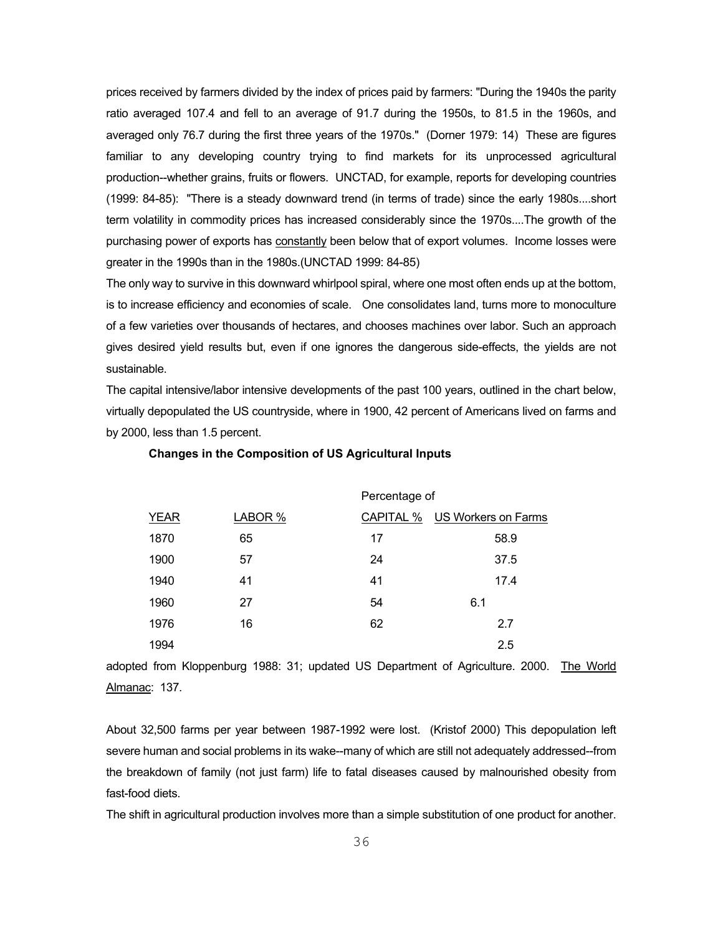prices received by farmers divided by the index of prices paid by farmers: "During the 1940s the parity ratio averaged 107.4 and fell to an average of 91.7 during the 1950s, to 81.5 in the 1960s, and averaged only 76.7 during the first three years of the 1970s." (Dorner 1979: 14) These are figures familiar to any developing country trying to find markets for its unprocessed agricultural production--whether grains, fruits or flowers. UNCTAD, for example, reports for developing countries (1999: 84-85): "There is a steady downward trend (in terms of trade) since the early 1980s....short term volatility in commodity prices has increased considerably since the 1970s....The growth of the purchasing power of exports has constantly been below that of export volumes. Income losses were greater in the 1990s than in the 1980s.(UNCTAD 1999: 84-85)

The only way to survive in this downward whirlpool spiral, where one most often ends up at the bottom, is to increase efficiency and economies of scale. One consolidates land, turns more to monoculture of a few varieties over thousands of hectares, and chooses machines over labor. Such an approach gives desired yield results but, even if one ignores the dangerous side-effects, the yields are not sustainable.

The capital intensive/labor intensive developments of the past 100 years, outlined in the chart below, virtually depopulated the US countryside, where in 1900, 42 percent of Americans lived on farms and by 2000, less than 1.5 percent.

|             |         | Percentage of |                               |  |
|-------------|---------|---------------|-------------------------------|--|
| <b>YEAR</b> | LABOR % |               | CAPITAL % US Workers on Farms |  |
| 1870        | 65      | 17            | 58.9                          |  |
| 1900        | 57      | 24            | 37.5                          |  |
| 1940        | 41      | 41            | 17.4                          |  |
| 1960        | 27      | 54            | 6.1                           |  |
| 1976        | 16      | 62            | 2.7                           |  |
| 1994        |         |               | 2.5                           |  |
|             |         |               |                               |  |

#### **Changes in the Composition of US Agricultural Inputs**

adopted from Kloppenburg 1988: 31; updated US Department of Agriculture. 2000. The World Almanac: 137.

About 32,500 farms per year between 1987-1992 were lost. (Kristof 2000) This depopulation left severe human and social problems in its wake--many of which are still not adequately addressed--from the breakdown of family (not just farm) life to fatal diseases caused by malnourished obesity from fast-food diets.

The shift in agricultural production involves more than a simple substitution of one product for another.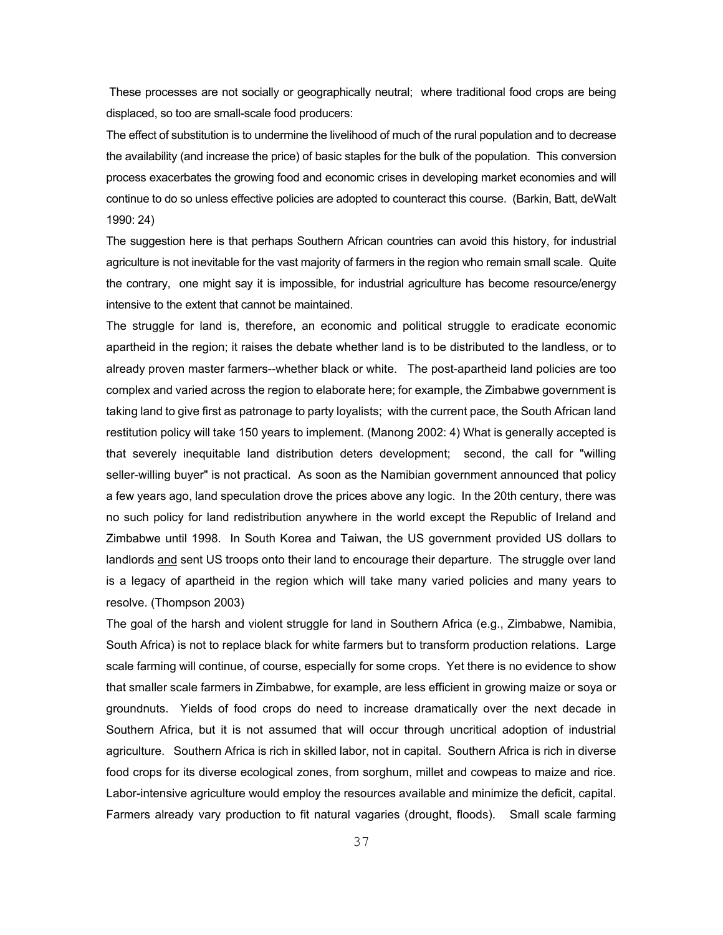These processes are not socially or geographically neutral; where traditional food crops are being displaced, so too are small-scale food producers:

The effect of substitution is to undermine the livelihood of much of the rural population and to decrease the availability (and increase the price) of basic staples for the bulk of the population. This conversion process exacerbates the growing food and economic crises in developing market economies and will continue to do so unless effective policies are adopted to counteract this course. (Barkin, Batt, deWalt 1990: 24)

The suggestion here is that perhaps Southern African countries can avoid this history, for industrial agriculture is not inevitable for the vast majority of farmers in the region who remain small scale. Quite the contrary, one might say it is impossible, for industrial agriculture has become resource/energy intensive to the extent that cannot be maintained.

The struggle for land is, therefore, an economic and political struggle to eradicate economic apartheid in the region; it raises the debate whether land is to be distributed to the landless, or to already proven master farmers--whether black or white. The post-apartheid land policies are too complex and varied across the region to elaborate here; for example, the Zimbabwe government is taking land to give first as patronage to party loyalists; with the current pace, the South African land restitution policy will take 150 years to implement. (Manong 2002: 4) What is generally accepted is that severely inequitable land distribution deters development; second, the call for "willing seller-willing buyer" is not practical. As soon as the Namibian government announced that policy a few years ago, land speculation drove the prices above any logic. In the 20th century, there was no such policy for land redistribution anywhere in the world except the Republic of Ireland and Zimbabwe until 1998. In South Korea and Taiwan, the US government provided US dollars to landlords and sent US troops onto their land to encourage their departure. The struggle over land is a legacy of apartheid in the region which will take many varied policies and many years to resolve. (Thompson 2003)

The goal of the harsh and violent struggle for land in Southern Africa (e.g., Zimbabwe, Namibia, South Africa) is not to replace black for white farmers but to transform production relations. Large scale farming will continue, of course, especially for some crops. Yet there is no evidence to show that smaller scale farmers in Zimbabwe, for example, are less efficient in growing maize or soya or groundnuts. Yields of food crops do need to increase dramatically over the next decade in Southern Africa, but it is not assumed that will occur through uncritical adoption of industrial agriculture. Southern Africa is rich in skilled labor, not in capital. Southern Africa is rich in diverse food crops for its diverse ecological zones, from sorghum, millet and cowpeas to maize and rice. Labor-intensive agriculture would employ the resources available and minimize the deficit, capital. Farmers already vary production to fit natural vagaries (drought, floods). Small scale farming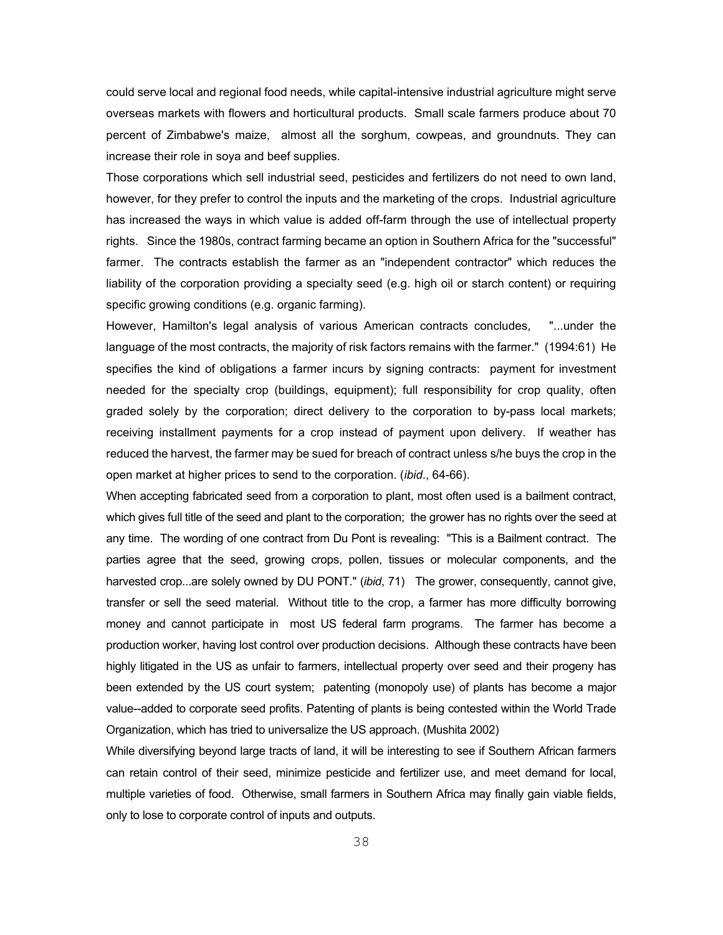could serve local and regional food needs, while capital-intensive industrial agriculture might serve overseas markets with flowers and horticultural products. Small scale farmers produce about 70 percent of Zimbabwe's maize, almost all the sorghum, cowpeas, and groundnuts. They can increase their role in soya and beef supplies.

Those corporations which sell industrial seed, pesticides and fertilizers do not need to own land, however, for they prefer to control the inputs and the marketing of the crops. Industrial agriculture has increased the ways in which value is added off-farm through the use of intellectual property rights. Since the 1980s, contract farming became an option in Southern Africa for the "successful" farmer. The contracts establish the farmer as an "independent contractor" which reduces the liability of the corporation providing a specialty seed (e.g. high oil or starch content) or requiring specific growing conditions (e.g. organic farming).

However, Hamilton's legal analysis of various American contracts concludes, "...under the language of the most contracts, the majority of risk factors remains with the farmer." (1994:61) He specifies the kind of obligations a farmer incurs by signing contracts: payment for investment needed for the specialty crop (buildings, equipment); full responsibility for crop quality, often graded solely by the corporation; direct delivery to the corporation to by-pass local markets; receiving installment payments for a crop instead of payment upon delivery. If weather has reduced the harvest, the farmer may be sued for breach of contract unless s/he buys the crop in the open market at higher prices to send to the corporation. (*ibid*., 64-66).

When accepting fabricated seed from a corporation to plant, most often used is a bailment contract, which gives full title of the seed and plant to the corporation; the grower has no rights over the seed at any time. The wording of one contract from Du Pont is revealing: "This is a Bailment contract. The parties agree that the seed, growing crops, pollen, tissues or molecular components, and the harvested crop...are solely owned by DU PONT." (*ibid*, 71) The grower, consequently, cannot give, transfer or sell the seed material. Without title to the crop, a farmer has more difficulty borrowing money and cannot participate in most US federal farm programs. The farmer has become a production worker, having lost control over production decisions. Although these contracts have been highly litigated in the US as unfair to farmers, intellectual property over seed and their progeny has been extended by the US court system; patenting (monopoly use) of plants has become a major value--added to corporate seed profits. Patenting of plants is being contested within the World Trade Organization, which has tried to universalize the US approach. (Mushita 2002)

While diversifying beyond large tracts of land, it will be interesting to see if Southern African farmers can retain control of their seed, minimize pesticide and fertilizer use, and meet demand for local, multiple varieties of food. Otherwise, small farmers in Southern Africa may finally gain viable fields, only to lose to corporate control of inputs and outputs.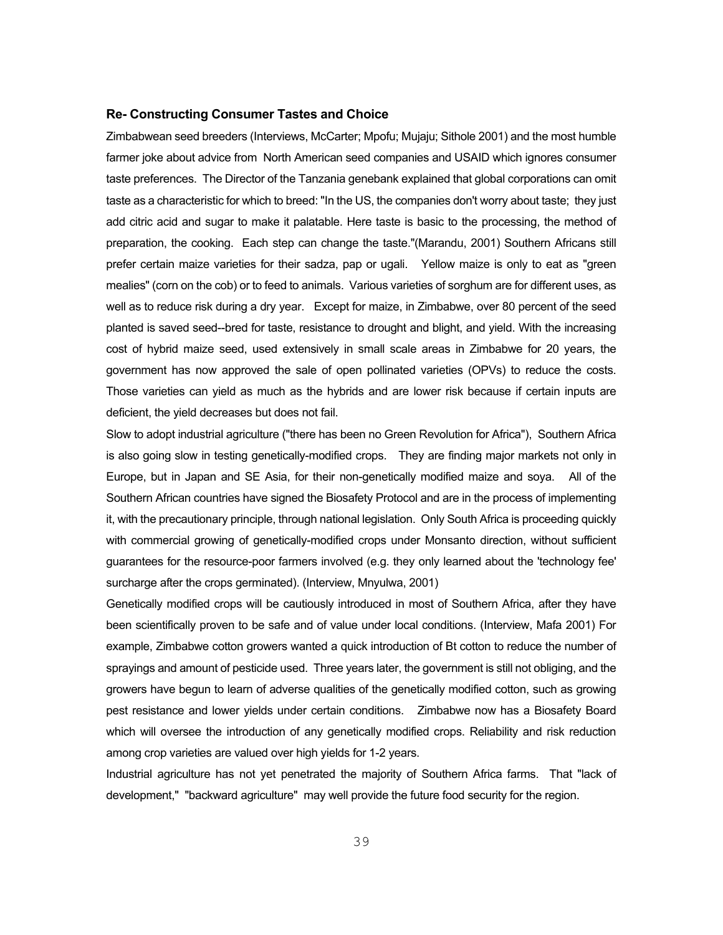#### **Re- Constructing Consumer Tastes and Choice**

Zimbabwean seed breeders (Interviews, McCarter; Mpofu; Mujaju; Sithole 2001) and the most humble farmer joke about advice from North American seed companies and USAID which ignores consumer taste preferences. The Director of the Tanzania genebank explained that global corporations can omit taste as a characteristic for which to breed: "In the US, the companies don't worry about taste; they just add citric acid and sugar to make it palatable. Here taste is basic to the processing, the method of preparation, the cooking. Each step can change the taste."(Marandu, 2001) Southern Africans still prefer certain maize varieties for their sadza, pap or ugali. Yellow maize is only to eat as "green mealies" (corn on the cob) or to feed to animals. Various varieties of sorghum are for different uses, as well as to reduce risk during a dry year. Except for maize, in Zimbabwe, over 80 percent of the seed planted is saved seed--bred for taste, resistance to drought and blight, and yield. With the increasing cost of hybrid maize seed, used extensively in small scale areas in Zimbabwe for 20 years, the government has now approved the sale of open pollinated varieties (OPVs) to reduce the costs. Those varieties can yield as much as the hybrids and are lower risk because if certain inputs are deficient, the yield decreases but does not fail.

Slow to adopt industrial agriculture ("there has been no Green Revolution for Africa"), Southern Africa is also going slow in testing genetically-modified crops. They are finding major markets not only in Europe, but in Japan and SE Asia, for their non-genetically modified maize and soya. All of the Southern African countries have signed the Biosafety Protocol and are in the process of implementing it, with the precautionary principle, through national legislation. Only South Africa is proceeding quickly with commercial growing of genetically-modified crops under Monsanto direction, without sufficient guarantees for the resource-poor farmers involved (e.g. they only learned about the 'technology fee' surcharge after the crops germinated). (Interview, Mnyulwa, 2001)

Genetically modified crops will be cautiously introduced in most of Southern Africa, after they have been scientifically proven to be safe and of value under local conditions. (Interview, Mafa 2001) For example, Zimbabwe cotton growers wanted a quick introduction of Bt cotton to reduce the number of sprayings and amount of pesticide used. Three years later, the government is still not obliging, and the growers have begun to learn of adverse qualities of the genetically modified cotton, such as growing pest resistance and lower yields under certain conditions. Zimbabwe now has a Biosafety Board which will oversee the introduction of any genetically modified crops. Reliability and risk reduction among crop varieties are valued over high yields for 1-2 years.

Industrial agriculture has not yet penetrated the majority of Southern Africa farms. That "lack of development," "backward agriculture" may well provide the future food security for the region.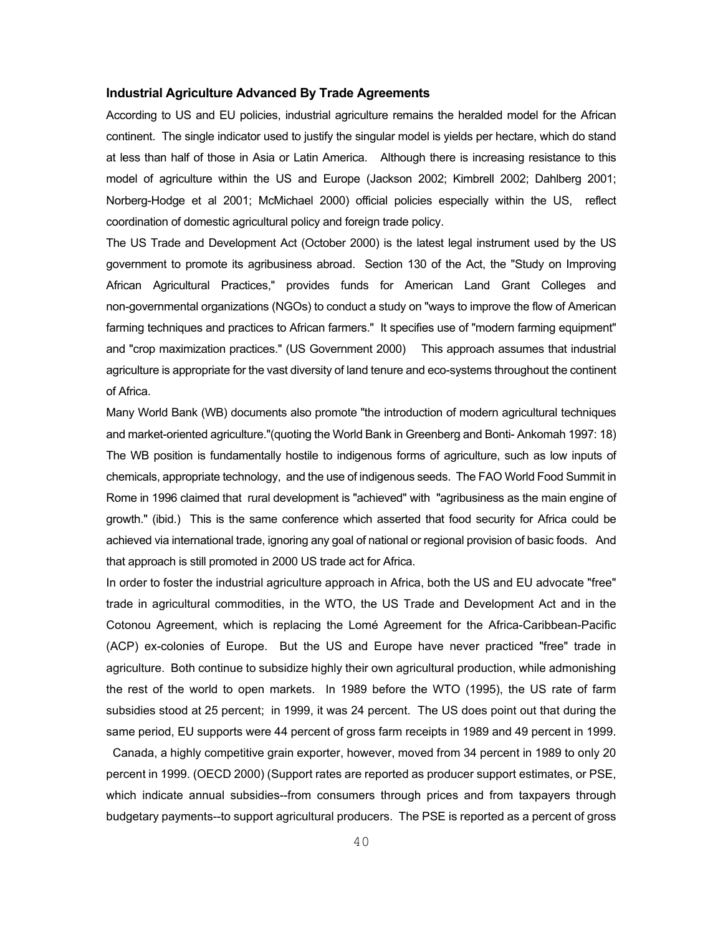### **Industrial Agriculture Advanced By Trade Agreements**

According to US and EU policies, industrial agriculture remains the heralded model for the African continent. The single indicator used to justify the singular model is yields per hectare, which do stand at less than half of those in Asia or Latin America. Although there is increasing resistance to this model of agriculture within the US and Europe (Jackson 2002; Kimbrell 2002; Dahlberg 2001; Norberg-Hodge et al 2001; McMichael 2000) official policies especially within the US, reflect coordination of domestic agricultural policy and foreign trade policy.

The US Trade and Development Act (October 2000) is the latest legal instrument used by the US government to promote its agribusiness abroad. Section 130 of the Act, the "Study on Improving African Agricultural Practices," provides funds for American Land Grant Colleges and non-governmental organizations (NGOs) to conduct a study on "ways to improve the flow of American farming techniques and practices to African farmers." It specifies use of "modern farming equipment" and "crop maximization practices." (US Government 2000) This approach assumes that industrial agriculture is appropriate for the vast diversity of land tenure and eco-systems throughout the continent of Africa.

Many World Bank (WB) documents also promote "the introduction of modern agricultural techniques and market-oriented agriculture."(quoting the World Bank in Greenberg and Bonti- Ankomah 1997: 18) The WB position is fundamentally hostile to indigenous forms of agriculture, such as low inputs of chemicals, appropriate technology, and the use of indigenous seeds. The FAO World Food Summit in Rome in 1996 claimed that rural development is "achieved" with "agribusiness as the main engine of growth." (ibid.) This is the same conference which asserted that food security for Africa could be achieved via international trade, ignoring any goal of national or regional provision of basic foods. And that approach is still promoted in 2000 US trade act for Africa.

In order to foster the industrial agriculture approach in Africa, both the US and EU advocate "free" trade in agricultural commodities, in the WTO, the US Trade and Development Act and in the Cotonou Agreement, which is replacing the Lomé Agreement for the Africa-Caribbean-Pacific (ACP) ex-colonies of Europe. But the US and Europe have never practiced "free" trade in agriculture. Both continue to subsidize highly their own agricultural production, while admonishing the rest of the world to open markets. In 1989 before the WTO (1995), the US rate of farm subsidies stood at 25 percent; in 1999, it was 24 percent. The US does point out that during the same period, EU supports were 44 percent of gross farm receipts in 1989 and 49 percent in 1999.

 Canada, a highly competitive grain exporter, however, moved from 34 percent in 1989 to only 20 percent in 1999. (OECD 2000) (Support rates are reported as producer support estimates, or PSE, which indicate annual subsidies--from consumers through prices and from taxpayers through budgetary payments--to support agricultural producers. The PSE is reported as a percent of gross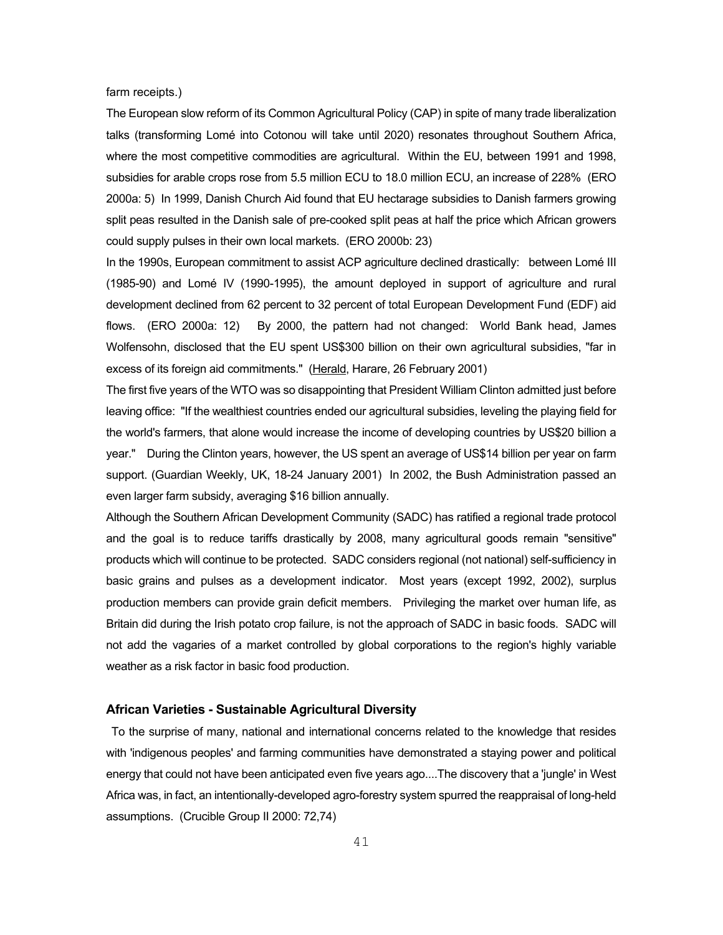farm receipts.)

The European slow reform of its Common Agricultural Policy (CAP) in spite of many trade liberalization talks (transforming Lomé into Cotonou will take until 2020) resonates throughout Southern Africa, where the most competitive commodities are agricultural. Within the EU, between 1991 and 1998, subsidies for arable crops rose from 5.5 million ECU to 18.0 million ECU, an increase of 228% (ERO 2000a: 5) In 1999, Danish Church Aid found that EU hectarage subsidies to Danish farmers growing split peas resulted in the Danish sale of pre-cooked split peas at half the price which African growers could supply pulses in their own local markets. (ERO 2000b: 23)

In the 1990s, European commitment to assist ACP agriculture declined drastically: between Lomé III (1985-90) and Lomé IV (1990-1995), the amount deployed in support of agriculture and rural development declined from 62 percent to 32 percent of total European Development Fund (EDF) aid flows. (ERO 2000a: 12) By 2000, the pattern had not changed: World Bank head, James Wolfensohn, disclosed that the EU spent US\$300 billion on their own agricultural subsidies, "far in excess of its foreign aid commitments." (Herald, Harare, 26 February 2001)

The first five years of the WTO was so disappointing that President William Clinton admitted just before leaving office: "If the wealthiest countries ended our agricultural subsidies, leveling the playing field for the world's farmers, that alone would increase the income of developing countries by US\$20 billion a year." During the Clinton years, however, the US spent an average of US\$14 billion per year on farm support. (Guardian Weekly, UK, 18-24 January 2001) In 2002, the Bush Administration passed an even larger farm subsidy, averaging \$16 billion annually.

Although the Southern African Development Community (SADC) has ratified a regional trade protocol and the goal is to reduce tariffs drastically by 2008, many agricultural goods remain "sensitive" products which will continue to be protected. SADC considers regional (not national) self-sufficiency in basic grains and pulses as a development indicator. Most years (except 1992, 2002), surplus production members can provide grain deficit members. Privileging the market over human life, as Britain did during the Irish potato crop failure, is not the approach of SADC in basic foods. SADC will not add the vagaries of a market controlled by global corporations to the region's highly variable weather as a risk factor in basic food production.

### **African Varieties - Sustainable Agricultural Diversity**

To the surprise of many, national and international concerns related to the knowledge that resides with 'indigenous peoples' and farming communities have demonstrated a staying power and political energy that could not have been anticipated even five years ago....The discovery that a 'jungle' in West Africa was, in fact, an intentionally-developed agro-forestry system spurred the reappraisal of long-held assumptions. (Crucible Group II 2000: 72,74)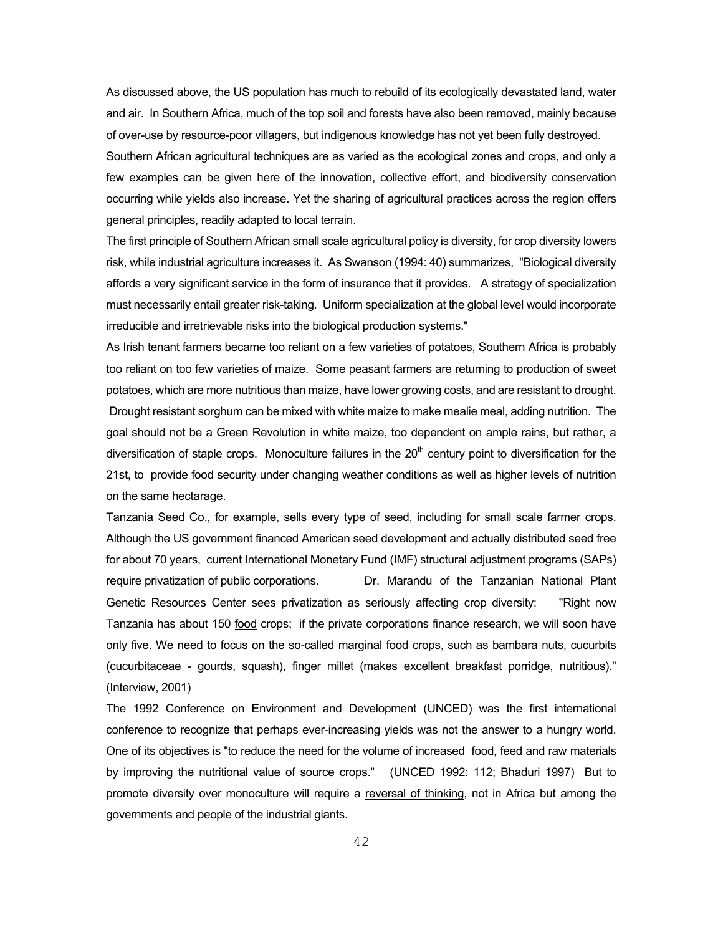As discussed above, the US population has much to rebuild of its ecologically devastated land, water and air. In Southern Africa, much of the top soil and forests have also been removed, mainly because of over-use by resource-poor villagers, but indigenous knowledge has not yet been fully destroyed.

Southern African agricultural techniques are as varied as the ecological zones and crops, and only a few examples can be given here of the innovation, collective effort, and biodiversity conservation occurring while yields also increase. Yet the sharing of agricultural practices across the region offers general principles, readily adapted to local terrain.

The first principle of Southern African small scale agricultural policy is diversity, for crop diversity lowers risk, while industrial agriculture increases it. As Swanson (1994: 40) summarizes, "Biological diversity affords a very significant service in the form of insurance that it provides. A strategy of specialization must necessarily entail greater risk-taking. Uniform specialization at the global level would incorporate irreducible and irretrievable risks into the biological production systems."

As Irish tenant farmers became too reliant on a few varieties of potatoes, Southern Africa is probably too reliant on too few varieties of maize. Some peasant farmers are returning to production of sweet potatoes, which are more nutritious than maize, have lower growing costs, and are resistant to drought. Drought resistant sorghum can be mixed with white maize to make mealie meal, adding nutrition. The goal should not be a Green Revolution in white maize, too dependent on ample rains, but rather, a diversification of staple crops. Monoculture failures in the  $20<sup>th</sup>$  century point to diversification for the 21st, to provide food security under changing weather conditions as well as higher levels of nutrition on the same hectarage.

Tanzania Seed Co., for example, sells every type of seed, including for small scale farmer crops. Although the US government financed American seed development and actually distributed seed free for about 70 years, current International Monetary Fund (IMF) structural adjustment programs (SAPs) require privatization of public corporations. Dr. Marandu of the Tanzanian National Plant Genetic Resources Center sees privatization as seriously affecting crop diversity: "Right now Tanzania has about 150 food crops; if the private corporations finance research, we will soon have only five. We need to focus on the so-called marginal food crops, such as bambara nuts, cucurbits (cucurbitaceae - gourds, squash), finger millet (makes excellent breakfast porridge, nutritious)." (Interview, 2001)

The 1992 Conference on Environment and Development (UNCED) was the first international conference to recognize that perhaps ever-increasing yields was not the answer to a hungry world. One of its objectives is "to reduce the need for the volume of increased food, feed and raw materials by improving the nutritional value of source crops." (UNCED 1992: 112; Bhaduri 1997) But to promote diversity over monoculture will require a reversal of thinking, not in Africa but among the governments and people of the industrial giants.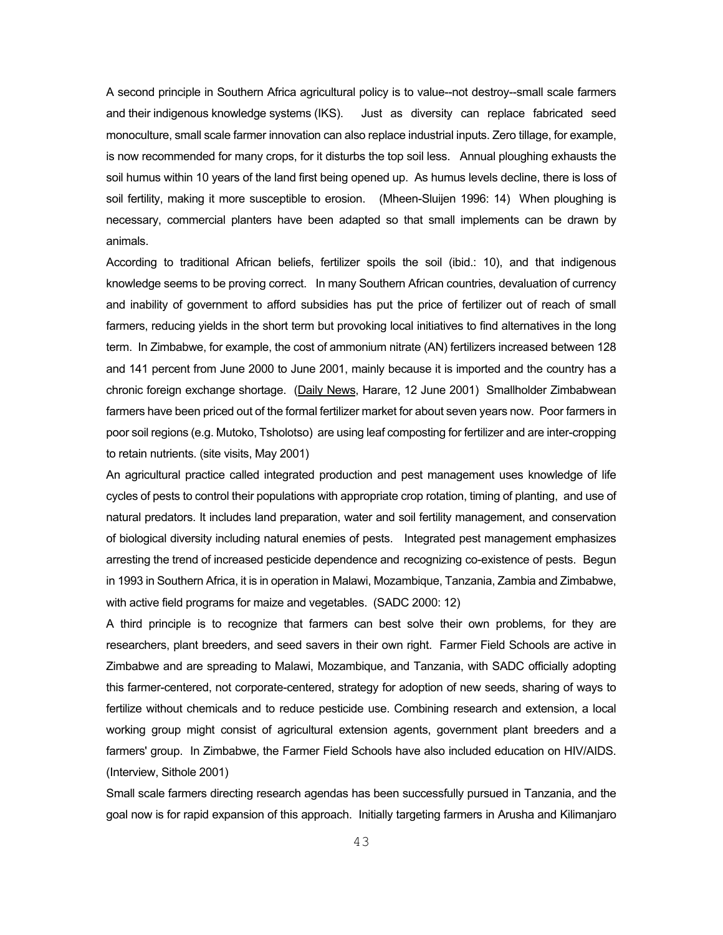A second principle in Southern Africa agricultural policy is to value--not destroy--small scale farmers and their indigenous knowledge systems (IKS). Just as diversity can replace fabricated seed monoculture, small scale farmer innovation can also replace industrial inputs. Zero tillage, for example, is now recommended for many crops, for it disturbs the top soil less. Annual ploughing exhausts the soil humus within 10 years of the land first being opened up. As humus levels decline, there is loss of soil fertility, making it more susceptible to erosion. (Mheen-Sluijen 1996: 14) When ploughing is necessary, commercial planters have been adapted so that small implements can be drawn by animals.

According to traditional African beliefs, fertilizer spoils the soil (ibid.: 10), and that indigenous knowledge seems to be proving correct. In many Southern African countries, devaluation of currency and inability of government to afford subsidies has put the price of fertilizer out of reach of small farmers, reducing yields in the short term but provoking local initiatives to find alternatives in the long term. In Zimbabwe, for example, the cost of ammonium nitrate (AN) fertilizers increased between 128 and 141 percent from June 2000 to June 2001, mainly because it is imported and the country has a chronic foreign exchange shortage. (Daily News, Harare, 12 June 2001) Smallholder Zimbabwean farmers have been priced out of the formal fertilizer market for about seven years now. Poor farmers in poor soil regions (e.g. Mutoko, Tsholotso) are using leaf composting for fertilizer and are inter-cropping to retain nutrients. (site visits, May 2001)

An agricultural practice called integrated production and pest management uses knowledge of life cycles of pests to control their populations with appropriate crop rotation, timing of planting, and use of natural predators. It includes land preparation, water and soil fertility management, and conservation of biological diversity including natural enemies of pests. Integrated pest management emphasizes arresting the trend of increased pesticide dependence and recognizing co-existence of pests. Begun in 1993 in Southern Africa, it is in operation in Malawi, Mozambique, Tanzania, Zambia and Zimbabwe, with active field programs for maize and vegetables. (SADC 2000: 12)

A third principle is to recognize that farmers can best solve their own problems, for they are researchers, plant breeders, and seed savers in their own right. Farmer Field Schools are active in Zimbabwe and are spreading to Malawi, Mozambique, and Tanzania, with SADC officially adopting this farmer-centered, not corporate-centered, strategy for adoption of new seeds, sharing of ways to fertilize without chemicals and to reduce pesticide use. Combining research and extension, a local working group might consist of agricultural extension agents, government plant breeders and a farmers' group. In Zimbabwe, the Farmer Field Schools have also included education on HIV/AIDS. (Interview, Sithole 2001)

Small scale farmers directing research agendas has been successfully pursued in Tanzania, and the goal now is for rapid expansion of this approach. Initially targeting farmers in Arusha and Kilimanjaro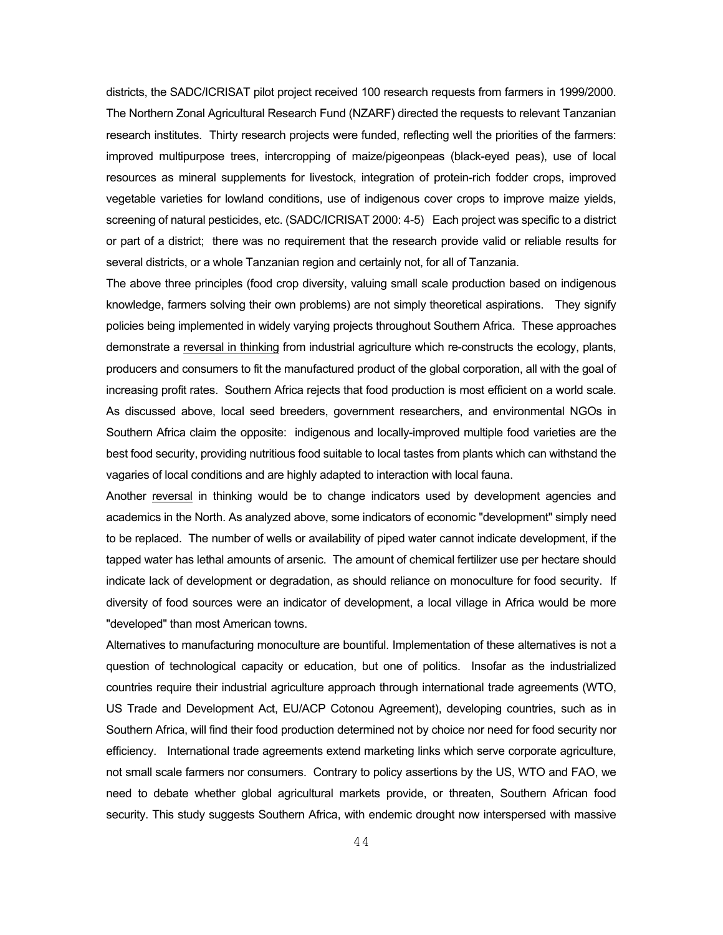districts, the SADC/ICRISAT pilot project received 100 research requests from farmers in 1999/2000. The Northern Zonal Agricultural Research Fund (NZARF) directed the requests to relevant Tanzanian research institutes. Thirty research projects were funded, reflecting well the priorities of the farmers: improved multipurpose trees, intercropping of maize/pigeonpeas (black-eyed peas), use of local resources as mineral supplements for livestock, integration of protein-rich fodder crops, improved vegetable varieties for lowland conditions, use of indigenous cover crops to improve maize yields, screening of natural pesticides, etc. (SADC/ICRISAT 2000: 4-5) Each project was specific to a district or part of a district; there was no requirement that the research provide valid or reliable results for several districts, or a whole Tanzanian region and certainly not, for all of Tanzania.

The above three principles (food crop diversity, valuing small scale production based on indigenous knowledge, farmers solving their own problems) are not simply theoretical aspirations. They signify policies being implemented in widely varying projects throughout Southern Africa. These approaches demonstrate a reversal in thinking from industrial agriculture which re-constructs the ecology, plants, producers and consumers to fit the manufactured product of the global corporation, all with the goal of increasing profit rates. Southern Africa rejects that food production is most efficient on a world scale. As discussed above, local seed breeders, government researchers, and environmental NGOs in Southern Africa claim the opposite: indigenous and locally-improved multiple food varieties are the best food security, providing nutritious food suitable to local tastes from plants which can withstand the vagaries of local conditions and are highly adapted to interaction with local fauna.

Another reversal in thinking would be to change indicators used by development agencies and academics in the North. As analyzed above, some indicators of economic "development" simply need to be replaced. The number of wells or availability of piped water cannot indicate development, if the tapped water has lethal amounts of arsenic. The amount of chemical fertilizer use per hectare should indicate lack of development or degradation, as should reliance on monoculture for food security. If diversity of food sources were an indicator of development, a local village in Africa would be more "developed" than most American towns.

Alternatives to manufacturing monoculture are bountiful. Implementation of these alternatives is not a question of technological capacity or education, but one of politics. Insofar as the industrialized countries require their industrial agriculture approach through international trade agreements (WTO, US Trade and Development Act, EU/ACP Cotonou Agreement), developing countries, such as in Southern Africa, will find their food production determined not by choice nor need for food security nor efficiency. International trade agreements extend marketing links which serve corporate agriculture, not small scale farmers nor consumers. Contrary to policy assertions by the US, WTO and FAO, we need to debate whether global agricultural markets provide, or threaten, Southern African food security. This study suggests Southern Africa, with endemic drought now interspersed with massive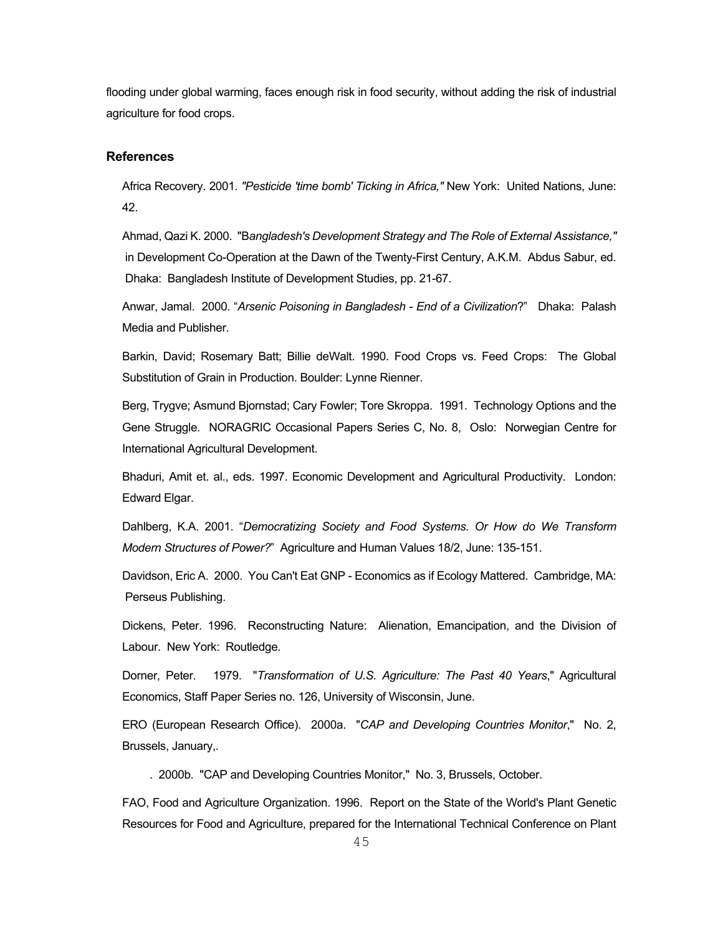flooding under global warming, faces enough risk in food security, without adding the risk of industrial agriculture for food crops.

# **References**

Africa Recovery. 2001. *"Pesticide 'time bomb' Ticking in Africa,"* New York: United Nations, June: 42.

Ahmad, Qazi K. 2000. "B*angladesh's Development Strategy and The Role of External Assistance,"* in Development Co-Operation at the Dawn of the Twenty-First Century, A.K.M. Abdus Sabur, ed. Dhaka: Bangladesh Institute of Development Studies, pp. 21-67.

Anwar, Jamal. 2000. "*Arsenic Poisoning in Bangladesh - End of a Civilization*?" Dhaka: Palash Media and Publisher.

Barkin, David; Rosemary Batt; Billie deWalt. 1990. Food Crops vs. Feed Crops: The Global Substitution of Grain in Production. Boulder: Lynne Rienner.

Berg, Trygve; Asmund Bjornstad; Cary Fowler; Tore Skroppa. 1991. Technology Options and the Gene Struggle. NORAGRIC Occasional Papers Series C, No. 8, Oslo: Norwegian Centre for International Agricultural Development.

Bhaduri, Amit et. al., eds. 1997. Economic Development and Agricultural Productivity. London: Edward Elgar.

Dahlberg, K.A. 2001. "*Democratizing Society and Food Systems. Or How do We Transform Modern Structures of Power?*" Agriculture and Human Values 18/2, June: 135-151.

Davidson, Eric A. 2000. You Can't Eat GNP - Economics as if Ecology Mattered. Cambridge, MA: Perseus Publishing.

Dickens, Peter. 1996. Reconstructing Nature: Alienation, Emancipation, and the Division of Labour. New York: Routledge.

Dorner, Peter. 1979. "*Transformation of U.S. Agriculture: The Past 40 Years*," Agricultural Economics, Staff Paper Series no. 126, University of Wisconsin, June.

ERO (European Research Office). 2000a. "*CAP and Developing Countries Monitor*," No. 2, Brussels, January,.

. 2000b. "CAP and Developing Countries Monitor," No. 3, Brussels, October.

FAO, Food and Agriculture Organization. 1996. Report on the State of the World's Plant Genetic Resources for Food and Agriculture, prepared for the International Technical Conference on Plant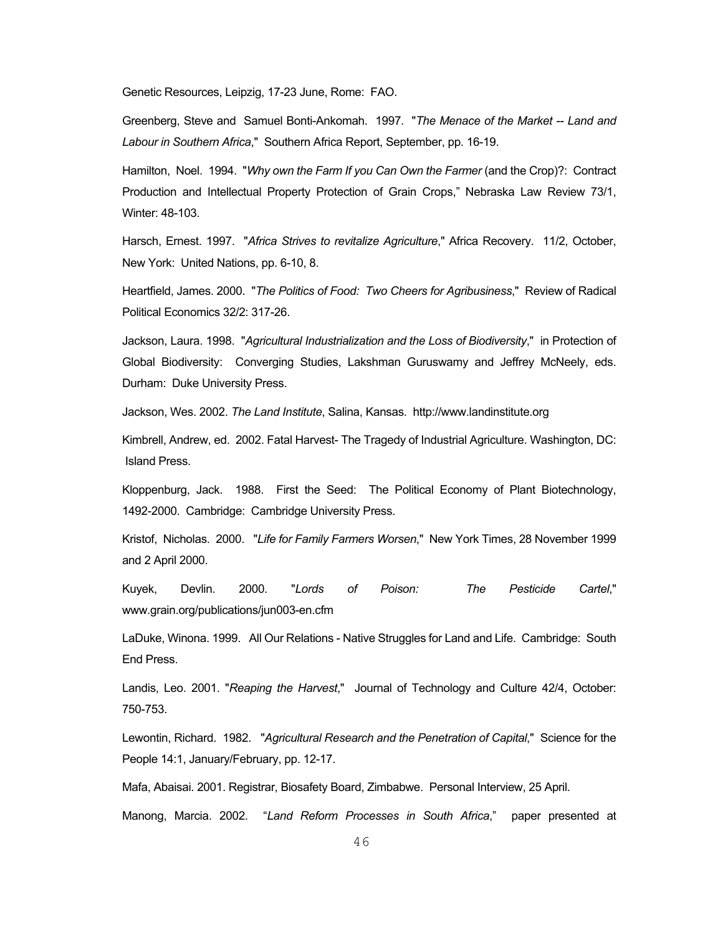Genetic Resources, Leipzig, 17-23 June, Rome: FAO.

Greenberg, Steve and Samuel Bonti-Ankomah. 1997. "*The Menace of the Market -- Land and Labour in Southern Africa*," Southern Africa Report, September, pp. 16-19.

Hamilton, Noel. 1994. "*Why own the Farm If you Can Own the Farmer* (and the Crop)?: Contract Production and Intellectual Property Protection of Grain Crops," Nebraska Law Review 73/1, Winter: 48-103.

Harsch, Ernest. 1997. "*Africa Strives to revitalize Agriculture*," Africa Recovery. 11/2, October, New York: United Nations, pp. 6-10, 8.

Heartfield, James. 2000. "*The Politics of Food: Two Cheers for Agribusiness*," Review of Radical Political Economics 32/2: 317-26.

Jackson, Laura. 1998. "*Agricultural Industrialization and the Loss of Biodiversity*," in Protection of Global Biodiversity: Converging Studies, Lakshman Guruswamy and Jeffrey McNeely, eds. Durham: Duke University Press.

Jackson, Wes. 2002. *The Land Institute*, Salina, Kansas. http://www.landinstitute.org

Kimbrell, Andrew, ed. 2002. Fatal Harvest- The Tragedy of Industrial Agriculture. Washington, DC: Island Press.

Kloppenburg, Jack. 1988. First the Seed: The Political Economy of Plant Biotechnology, 1492-2000. Cambridge: Cambridge University Press.

Kristof, Nicholas. 2000. "*Life for Family Farmers Worsen*," New York Times, 28 November 1999 and 2 April 2000.

Kuyek, Devlin. 2000. "*Lords of Poison: The Pesticide Cartel*," www.grain.org/publications/jun003-en.cfm

LaDuke, Winona. 1999. All Our Relations - Native Struggles for Land and Life. Cambridge: South End Press.

Landis, Leo. 2001. "*Reaping the Harvest*," Journal of Technology and Culture 42/4, October: 750-753.

Lewontin, Richard. 1982. "*Agricultural Research and the Penetration of Capital*," Science for the People 14:1, January/February, pp. 12-17.

Mafa, Abaisai. 2001. Registrar, Biosafety Board, Zimbabwe. Personal Interview, 25 April.

Manong, Marcia. 2002. "*Land Reform Processes in South Africa*," paper presented at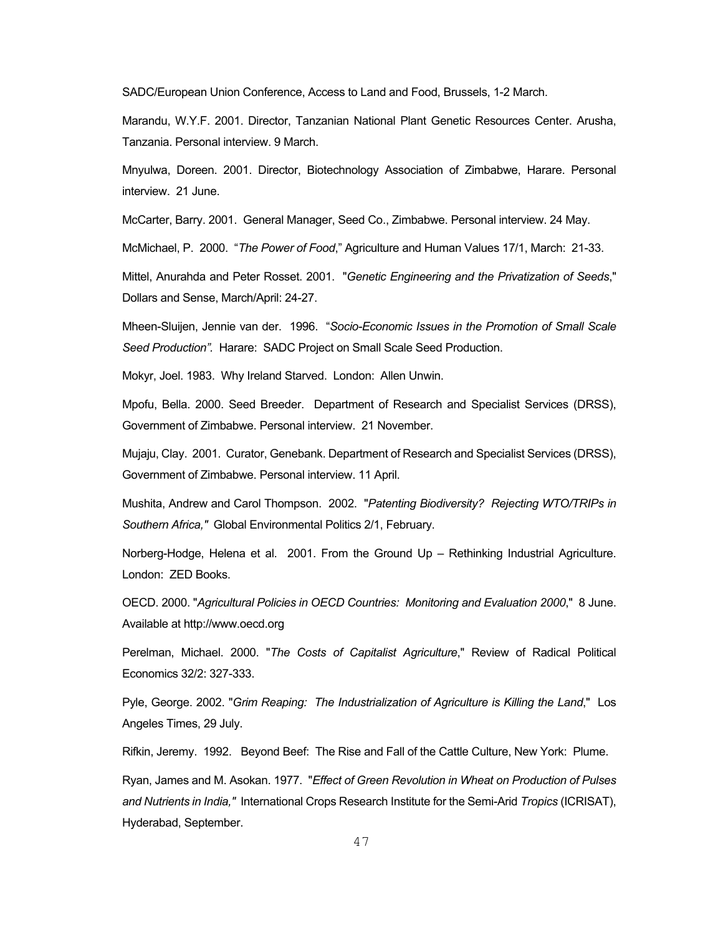SADC/European Union Conference, Access to Land and Food, Brussels, 1-2 March.

Marandu, W.Y.F. 2001. Director, Tanzanian National Plant Genetic Resources Center. Arusha, Tanzania. Personal interview. 9 March.

Mnyulwa, Doreen. 2001. Director, Biotechnology Association of Zimbabwe, Harare. Personal interview. 21 June.

McCarter, Barry. 2001. General Manager, Seed Co., Zimbabwe. Personal interview. 24 May.

McMichael, P. 2000. "*The Power of Food*," Agriculture and Human Values 17/1, March: 21-33.

Mittel, Anurahda and Peter Rosset. 2001. "*Genetic Engineering and the Privatization of Seeds*," Dollars and Sense, March/April: 24-27.

Mheen-Sluijen, Jennie van der. 1996. "*Socio-Economic Issues in the Promotion of Small Scale Seed Production".* Harare: SADC Project on Small Scale Seed Production.

Mokyr, Joel. 1983. Why Ireland Starved. London: Allen Unwin.

Mpofu, Bella. 2000. Seed Breeder. Department of Research and Specialist Services (DRSS), Government of Zimbabwe. Personal interview. 21 November.

Mujaju, Clay. 2001. Curator, Genebank. Department of Research and Specialist Services (DRSS), Government of Zimbabwe. Personal interview. 11 April.

Mushita, Andrew and Carol Thompson. 2002. "*Patenting Biodiversity? Rejecting WTO/TRIPs in Southern Africa,"* Global Environmental Politics 2/1, February.

Norberg-Hodge, Helena et al. 2001. From the Ground Up – Rethinking Industrial Agriculture. London: ZED Books.

OECD. 2000. "*Agricultural Policies in OECD Countries: Monitoring and Evaluation 2000*," 8 June. Available at http://www.oecd.org

Perelman, Michael. 2000. "*The Costs of Capitalist Agriculture*," Review of Radical Political Economics 32/2: 327-333.

Pyle, George. 2002. "*Grim Reaping: The Industrialization of Agriculture is Killing the Land*," Los Angeles Times, 29 July.

Rifkin, Jeremy. 1992. Beyond Beef: The Rise and Fall of the Cattle Culture, New York: Plume.

Ryan, James and M. Asokan. 1977. "*Effect of Green Revolution in Wheat on Production of Pulses and Nutrients in India,"* International Crops Research Institute for the Semi-Arid *Tropics* (ICRISAT), Hyderabad, September.